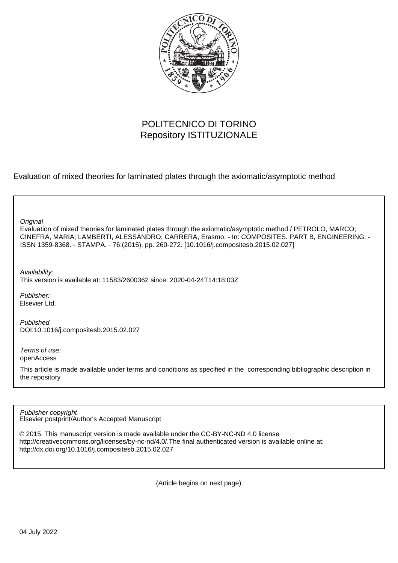

# POLITECNICO DI TORINO Repository ISTITUZIONALE

Evaluation of mixed theories for laminated plates through the axiomatic/asymptotic method

| Original<br>Evaluation of mixed theories for laminated plates through the axiomatic/asymptotic method / PETROLO, MARCO;<br>CINEFRA, MARIA; LAMBERTI, ALESSANDRO; CARRERA, Erasmo. - In: COMPOSITES. PART B, ENGINEERING. -<br>ISSN 1359-8368. - STAMPA. - 76:(2015), pp. 260-272. [10.1016/j.compositesb.2015.02.027] |
|-----------------------------------------------------------------------------------------------------------------------------------------------------------------------------------------------------------------------------------------------------------------------------------------------------------------------|
| Availability:<br>This version is available at: 11583/2600362 since: 2020-04-24T14:18:03Z                                                                                                                                                                                                                              |
| Publisher:<br>Elsevier Ltd.                                                                                                                                                                                                                                                                                           |
| Published<br>DOI:10.1016/j.compositesb.2015.02.027                                                                                                                                                                                                                                                                    |
| Terms of use:<br>openAccess                                                                                                                                                                                                                                                                                           |
| This article is made available under terms and conditions as specified in the corresponding bibliographic description in<br>the repository                                                                                                                                                                            |

Elsevier postprint/Author's Accepted Manuscript Publisher copyright

© 2015. This manuscript version is made available under the CC-BY-NC-ND 4.0 license http://creativecommons.org/licenses/by-nc-nd/4.0/.The final authenticated version is available online at: http://dx.doi.org/10.1016/j.compositesb.2015.02.027

(Article begins on next page)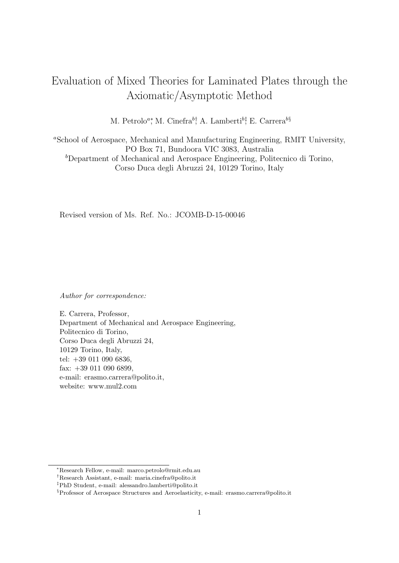# Evaluation of Mixed Theories for Laminated Plates through the Axiomatic/Asymptotic Method

M. Petrolo<sup>a</sup><sup>\*</sup>, M. Cinefra<sup>b</sup><sup>†</sup>, A. Lamberti<sup>b‡</sup>, E. Carrera<sup>b§</sup>

<sup>a</sup>School of Aerospace, Mechanical and Manufacturing Engineering, RMIT University, PO Box 71, Bundoora VIC 3083, Australia  $b$ Department of Mechanical and Aerospace Engineering, Politecnico di Torino, Corso Duca degli Abruzzi 24, 10129 Torino, Italy

Revised version of Ms. Ref. No.: JCOMB-D-15-00046

Author for correspondence:

E. Carrera, Professor, Department of Mechanical and Aerospace Engineering, Politecnico di Torino, Corso Duca degli Abruzzi 24, 10129 Torino, Italy, tel: +39 011 090 6836, fax: +39 011 090 6899, e-mail: erasmo.carrera@polito.it, website: www.mul2.com

<sup>∗</sup>Research Fellow, e-mail: marco.petrolo@rmit.edu.au

<sup>†</sup>Research Assistant, e-mail: maria.cinefra@polito.it

<sup>‡</sup>PhD Student, e-mail: alessandro.lamberti@polito.it

<sup>§</sup>Professor of Aerospace Structures and Aeroelasticity, e-mail: erasmo.carrera@polito.it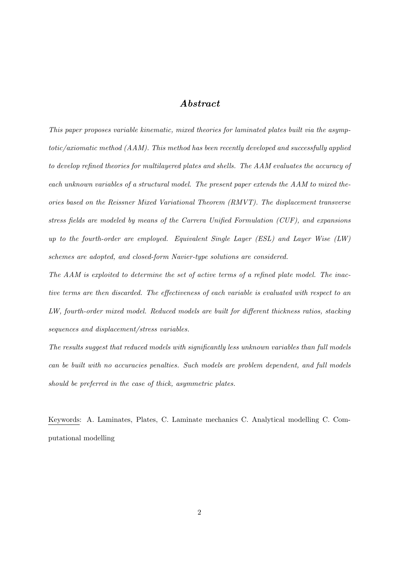# Abstract

This paper proposes variable kinematic, mixed theories for laminated plates built via the asymptotic/axiomatic method (AAM). This method has been recently developed and successfully applied to develop refined theories for multilayered plates and shells. The AAM evaluates the accuracy of each unknown variables of a structural model. The present paper extends the AAM to mixed theories based on the Reissner Mixed Variational Theorem (RMVT). The displacement transverse stress fields are modeled by means of the Carrera Unified Formulation (CUF), and expansions up to the fourth-order are employed. Equivalent Single Layer (ESL) and Layer Wise (LW) schemes are adopted, and closed-form Navier-type solutions are considered.

The AAM is exploited to determine the set of active terms of a refined plate model. The inactive terms are then discarded. The effectiveness of each variable is evaluated with respect to an LW, fourth-order mixed model. Reduced models are built for different thickness ratios, stacking sequences and displacement/stress variables.

The results suggest that reduced models with significantly less unknown variables than full models can be built with no accuracies penalties. Such models are problem dependent, and full models should be preferred in the case of thick, asymmetric plates.

Keywords: A. Laminates, Plates, C. Laminate mechanics C. Analytical modelling C. Computational modelling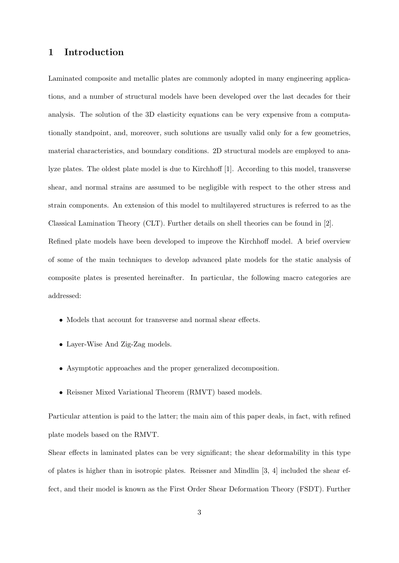### 1 Introduction

Laminated composite and metallic plates are commonly adopted in many engineering applications, and a number of structural models have been developed over the last decades for their analysis. The solution of the 3D elasticity equations can be very expensive from a computationally standpoint, and, moreover, such solutions are usually valid only for a few geometries, material characteristics, and boundary conditions. 2D structural models are employed to analyze plates. The oldest plate model is due to Kirchhoff [1]. According to this model, transverse shear, and normal strains are assumed to be negligible with respect to the other stress and strain components. An extension of this model to multilayered structures is referred to as the Classical Lamination Theory (CLT). Further details on shell theories can be found in [2]. Refined plate models have been developed to improve the Kirchhoff model. A brief overview of some of the main techniques to develop advanced plate models for the static analysis of composite plates is presented hereinafter. In particular, the following macro categories are addressed:

- Models that account for transverse and normal shear effects.
- Layer-Wise And Zig-Zag models.
- Asymptotic approaches and the proper generalized decomposition.
- Reissner Mixed Variational Theorem (RMVT) based models.

Particular attention is paid to the latter; the main aim of this paper deals, in fact, with refined plate models based on the RMVT.

Shear effects in laminated plates can be very significant; the shear deformability in this type of plates is higher than in isotropic plates. Reissner and Mindlin [3, 4] included the shear effect, and their model is known as the First Order Shear Deformation Theory (FSDT). Further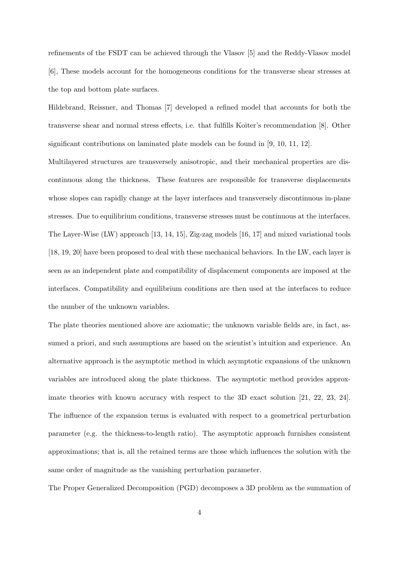refinements of the FSDT can be achieved through the Vlasov [5] and the Reddy-Vlasov model [6], These models account for the homogeneous conditions for the transverse shear stresses at the top and bottom plate surfaces.

Hildebrand, Reissner, and Thomas [7] developed a refined model that accounts for both the transverse shear and normal stress effects, i.e. that fulfills Koiter's recommendation [8]. Other significant contributions on laminated plate models can be found in [9, 10, 11, 12].

Multilayered structures are transversely anisotropic, and their mechanical properties are discontinuous along the thickness. These features are responsible for transverse displacements whose slopes can rapidly change at the layer interfaces and transversely discontinuous in-plane stresses. Due to equilibrium conditions, transverse stresses must be continuous at the interfaces. The Layer-Wise (LW) approach [13, 14, 15], Zig-zag models [16, 17] and mixed variational tools [18, 19, 20] have been proposed to deal with these mechanical behaviors. In the LW, each layer is seen as an independent plate and compatibility of displacement components are imposed at the interfaces. Compatibility and equilibrium conditions are then used at the interfaces to reduce the number of the unknown variables.

The plate theories mentioned above are axiomatic; the unknown variable fields are, in fact, assumed a priori, and such assumptions are based on the scientist's intuition and experience. An alternative approach is the asymptotic method in which asymptotic expansions of the unknown variables are introduced along the plate thickness. The asymptotic method provides approximate theories with known accuracy with respect to the 3D exact solution [21, 22, 23, 24]. The influence of the expansion terms is evaluated with respect to a geometrical perturbation parameter (e.g. the thickness-to-length ratio). The asymptotic approach furnishes consistent approximations; that is, all the retained terms are those which influences the solution with the same order of magnitude as the vanishing perturbation parameter.

The Proper Generalized Decomposition (PGD) decomposes a 3D problem as the summation of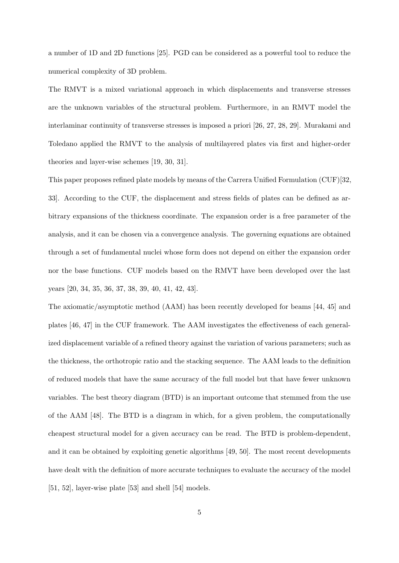a number of 1D and 2D functions [25]. PGD can be considered as a powerful tool to reduce the numerical complexity of 3D problem.

The RMVT is a mixed variational approach in which displacements and transverse stresses are the unknown variables of the structural problem. Furthermore, in an RMVT model the interlaminar continuity of transverse stresses is imposed a priori [26, 27, 28, 29]. Murakami and Toledano applied the RMVT to the analysis of multilayered plates via first and higher-order theories and layer-wise schemes [19, 30, 31].

This paper proposes refined plate models by means of the Carrera Unified Formulation (CUF)[32, 33]. According to the CUF, the displacement and stress fields of plates can be defined as arbitrary expansions of the thickness coordinate. The expansion order is a free parameter of the analysis, and it can be chosen via a convergence analysis. The governing equations are obtained through a set of fundamental nuclei whose form does not depend on either the expansion order nor the base functions. CUF models based on the RMVT have been developed over the last years [20, 34, 35, 36, 37, 38, 39, 40, 41, 42, 43].

The axiomatic/asymptotic method (AAM) has been recently developed for beams [44, 45] and plates [46, 47] in the CUF framework. The AAM investigates the effectiveness of each generalized displacement variable of a refined theory against the variation of various parameters; such as the thickness, the orthotropic ratio and the stacking sequence. The AAM leads to the definition of reduced models that have the same accuracy of the full model but that have fewer unknown variables. The best theory diagram (BTD) is an important outcome that stemmed from the use of the AAM [48]. The BTD is a diagram in which, for a given problem, the computationally cheapest structural model for a given accuracy can be read. The BTD is problem-dependent, and it can be obtained by exploiting genetic algorithms [49, 50]. The most recent developments have dealt with the definition of more accurate techniques to evaluate the accuracy of the model [51, 52], layer-wise plate [53] and shell [54] models.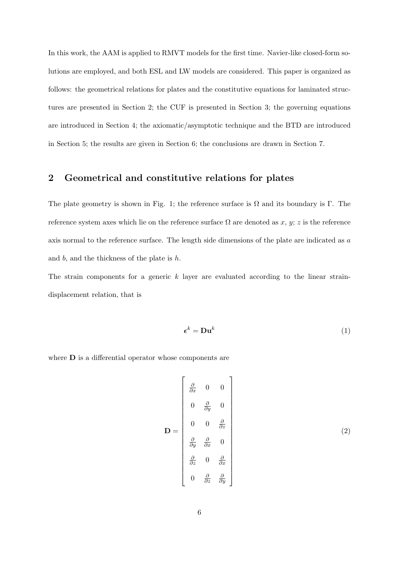In this work, the AAM is applied to RMVT models for the first time. Navier-like closed-form solutions are employed, and both ESL and LW models are considered. This paper is organized as follows: the geometrical relations for plates and the constitutive equations for laminated structures are presented in Section 2; the CUF is presented in Section 3; the governing equations are introduced in Section 4; the axiomatic/asymptotic technique and the BTD are introduced in Section 5; the results are given in Section 6; the conclusions are drawn in Section 7.

## 2 Geometrical and constitutive relations for plates

The plate geometry is shown in Fig. 1; the reference surface is  $\Omega$  and its boundary is Γ. The reference system axes which lie on the reference surface  $\Omega$  are denoted as x, y; z is the reference axis normal to the reference surface. The length side dimensions of the plate are indicated as a and  $b$ , and the thickness of the plate is  $h$ .

The strain components for a generic  $k$  layer are evaluated according to the linear straindisplacement relation, that is

$$
\boldsymbol{\epsilon}^k = \mathbf{D} \mathbf{u}^k \tag{1}
$$

where **D** is a differential operator whose components are

$$
\mathbf{D} = \begin{bmatrix} \frac{\partial}{\partial x} & 0 & 0 \\ 0 & \frac{\partial}{\partial y} & 0 \\ 0 & 0 & \frac{\partial}{\partial z} \\ \frac{\partial}{\partial y} & \frac{\partial}{\partial x} & 0 \\ \frac{\partial}{\partial z} & 0 & \frac{\partial}{\partial x} \\ 0 & \frac{\partial}{\partial z} & \frac{\partial}{\partial y} \end{bmatrix}
$$
(2)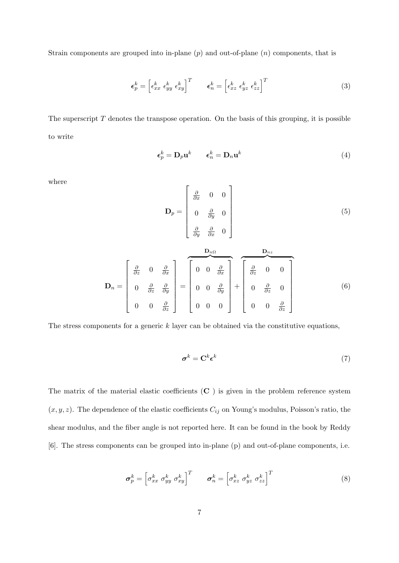Strain components are grouped into in-plane  $(p)$  and out-of-plane  $(n)$  components, that is

$$
\boldsymbol{\epsilon}_p^k = \begin{bmatrix} \epsilon_{xx}^k & \epsilon_{yy}^k & \epsilon_{xy}^k \end{bmatrix}^T \qquad \boldsymbol{\epsilon}_n^k = \begin{bmatrix} \epsilon_{xz}^k & \epsilon_{yz}^k & \epsilon_{zz}^k \end{bmatrix}^T \tag{3}
$$

The superscript  $T$  denotes the transpose operation. On the basis of this grouping, it is possible to write

$$
\epsilon_p^k = \mathbf{D}_p \mathbf{u}^k \qquad \epsilon_n^k = \mathbf{D}_n \mathbf{u}^k \tag{4}
$$

where

$$
\mathbf{D}_{p} = \begin{bmatrix} \frac{\partial}{\partial x} & 0 & 0 \\ 0 & \frac{\partial}{\partial y} & 0 \\ \frac{\partial}{\partial y} & \frac{\partial}{\partial x} & 0 \end{bmatrix}
$$
(5)  

$$
\mathbf{D}_{n} = \begin{bmatrix} \frac{\partial}{\partial z} & 0 & \frac{\partial}{\partial x} \\ 0 & \frac{\partial}{\partial z} & \frac{\partial}{\partial y} \\ 0 & 0 & \frac{\partial}{\partial z} \end{bmatrix} = \begin{bmatrix} 0 & 0 & \frac{\partial}{\partial x} \\ 0 & 0 & \frac{\partial}{\partial x} \\ 0 & 0 & \frac{\partial}{\partial y} \\ 0 & 0 & 0 \end{bmatrix} + \begin{bmatrix} \frac{\partial}{\partial z} & 0 & 0 \\ 0 & \frac{\partial}{\partial z} & 0 \\ 0 & 0 & \frac{\partial}{\partial z} \end{bmatrix}
$$
(6)

The stress components for a generic  $k$  layer can be obtained via the constitutive equations,

$$
\boldsymbol{\sigma}^k = \mathbf{C}^k \boldsymbol{\epsilon}^k \tag{7}
$$

The matrix of the material elastic coefficients  $(C)$  is given in the problem reference system  $(x, y, z)$ . The dependence of the elastic coefficients  $C_{ij}$  on Young's modulus, Poisson's ratio, the shear modulus, and the fiber angle is not reported here. It can be found in the book by Reddy [6]. The stress components can be grouped into in-plane (p) and out-of-plane components, i.e.

$$
\boldsymbol{\sigma}_p^k = \begin{bmatrix} \sigma_{xx}^k & \sigma_{yy}^k & \sigma_{xy}^k \end{bmatrix}^T \qquad \boldsymbol{\sigma}_n^k = \begin{bmatrix} \sigma_{xz}^k & \sigma_{yz}^k & \sigma_{zz}^k \end{bmatrix}^T \tag{8}
$$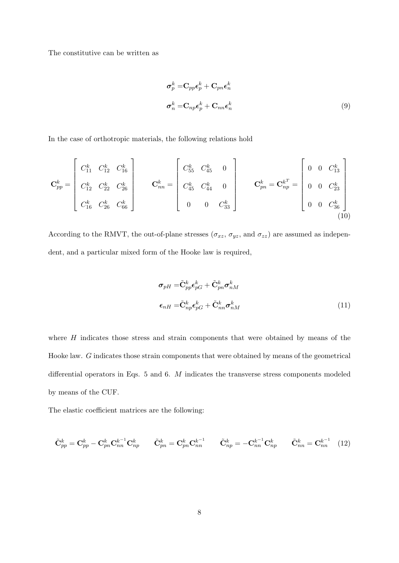The constitutive can be written as

$$
\sigma_p^k = \mathbf{C}_{pp} \epsilon_p^k + \mathbf{C}_{pn} \epsilon_n^k
$$
  

$$
\sigma_n^k = \mathbf{C}_{np} \epsilon_p^k + \mathbf{C}_{nn} \epsilon_n^k
$$
 (9)

In the case of orthotropic materials, the following relations hold

$$
\mathbf{C}_{pp}^{k} = \begin{bmatrix} C_{11}^{k} & C_{12}^{k} & C_{16}^{k} \\ C_{12}^{k} & C_{22}^{k} & C_{26}^{k} \\ C_{16}^{k} & C_{26}^{k} & C_{66}^{k} \end{bmatrix} \qquad\n\mathbf{C}_{nn}^{k} = \begin{bmatrix} C_{55}^{k} & C_{45}^{k} & 0 \\ C_{45}^{k} & C_{44}^{k} & 0 \\ 0 & 0 & C_{33}^{k} \end{bmatrix} \qquad\n\mathbf{C}_{pn}^{k} = \mathbf{C}_{np}^{k^{T}} = \begin{bmatrix} 0 & 0 & C_{13}^{k} \\ 0 & 0 & C_{23}^{k} \\ 0 & 0 & C_{36}^{k} \end{bmatrix}
$$
\n(10)

According to the RMVT, the out-of-plane stresses  $(\sigma_{xz}, \sigma_{yz}, \text{ and } \sigma_{zz})$  are assumed as independent, and a particular mixed form of the Hooke law is required,

$$
\sigma_{pH} = \tilde{\mathbf{C}}_{pp}^k \epsilon_{pG}^k + \tilde{\mathbf{C}}_{pn}^k \sigma_{nM}^k
$$

$$
\epsilon_{nH} = \tilde{\mathbf{C}}_{np}^k \epsilon_{pG}^k + \tilde{\mathbf{C}}_{nn}^k \sigma_{nM}^k
$$
(11)

where  $H$  indicates those stress and strain components that were obtained by means of the Hooke law. G indicates those strain components that were obtained by means of the geometrical differential operators in Eqs. 5 and 6. M indicates the transverse stress components modeled by means of the CUF.

The elastic coefficient matrices are the following:

$$
\tilde{\mathbf{C}}_{pp}^k = \mathbf{C}_{pp}^k - \mathbf{C}_{pn}^k \mathbf{C}_{nn}^{k-1} \mathbf{C}_{np}^k \qquad \tilde{\mathbf{C}}_{pn}^k = \mathbf{C}_{pn}^k \mathbf{C}_{nn}^{k-1} \qquad \tilde{\mathbf{C}}_{np}^k = -\mathbf{C}_{nn}^{k-1} \mathbf{C}_{np}^k \qquad \tilde{\mathbf{C}}_{nn}^k = \mathbf{C}_{nn}^{k-1} \tag{12}
$$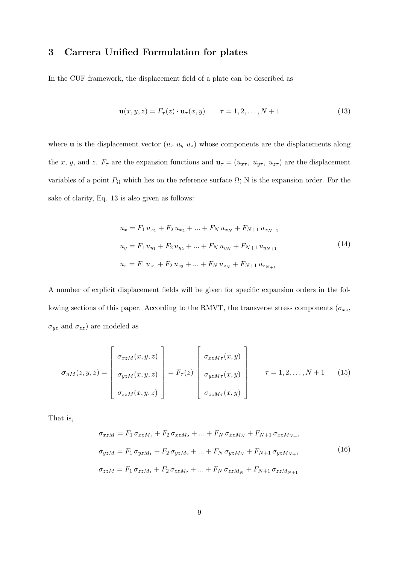# 3 Carrera Unified Formulation for plates

In the CUF framework, the displacement field of a plate can be described as

$$
\mathbf{u}(x, y, z) = F_{\tau}(z) \cdot \mathbf{u}_{\tau}(x, y) \qquad \tau = 1, 2, \dots, N + 1 \tag{13}
$$

where **u** is the displacement vector  $(u_x u_y u_z)$  whose components are the displacements along the x, y, and z.  $F_{\tau}$  are the expansion functions and  $\mathbf{u}_{\tau} = (u_{x\tau}, u_{y\tau}, u_{z\tau})$  are the displacement variables of a point  $P_{\Omega}$  which lies on the reference surface  $\Omega$ ; N is the expansion order. For the sake of clarity, Eq. 13 is also given as follows:

$$
u_x = F_1 u_{x_1} + F_2 u_{x_2} + \dots + F_N u_{x_N} + F_{N+1} u_{x_{N+1}}
$$
  
\n
$$
u_y = F_1 u_{y_1} + F_2 u_{y_2} + \dots + F_N u_{y_N} + F_{N+1} u_{y_{N+1}}
$$
  
\n
$$
u_z = F_1 u_{z_1} + F_2 u_{z_2} + \dots + F_N u_{z_N} + F_{N+1} u_{z_{N+1}}
$$
\n(14)

A number of explicit displacement fields will be given for specific expansion orders in the following sections of this paper. According to the RMVT, the transverse stress components ( $\sigma_{xz}$ ,  $\sigma_{yz}$  and  $\sigma_{zz}$ ) are modeled as

$$
\boldsymbol{\sigma}_{nM}(z,y,z) = \begin{bmatrix} \sigma_{xzM}(x,y,z) \\ \sigma_{yzM}(x,y,z) \\ \sigma_{zzM}(x,y,z) \end{bmatrix} = F_{\tau}(z) \begin{bmatrix} \sigma_{xzM\tau}(x,y) \\ \sigma_{yzM\tau}(x,y) \\ \sigma_{zzM\tau}(x,y) \end{bmatrix} \qquad \tau = 1,2,\ldots,N+1 \qquad (15)
$$

That is,

$$
\sigma_{xzM} = F_1 \sigma_{xzM_1} + F_2 \sigma_{xzM_2} + \dots + F_N \sigma_{xzM_N} + F_{N+1} \sigma_{xzM_{N+1}}
$$
  
\n
$$
\sigma_{yzM} = F_1 \sigma_{yzM_1} + F_2 \sigma_{yzM_2} + \dots + F_N \sigma_{yzM_N} + F_{N+1} \sigma_{yzM_{N+1}}
$$
  
\n
$$
\sigma_{zzM} = F_1 \sigma_{zzM_1} + F_2 \sigma_{zzM_2} + \dots + F_N \sigma_{zzM_N} + F_{N+1} \sigma_{zzM_{N+1}}
$$
\n(16)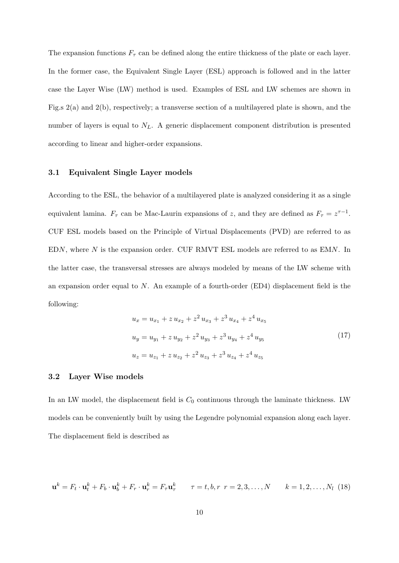The expansion functions  $F_{\tau}$  can be defined along the entire thickness of the plate or each layer. In the former case, the Equivalent Single Layer (ESL) approach is followed and in the latter case the Layer Wise (LW) method is used. Examples of ESL and LW schemes are shown in Fig.s 2(a) and 2(b), respectively; a transverse section of a multilayered plate is shown, and the number of layers is equal to  $N_L$ . A generic displacement component distribution is presented according to linear and higher-order expansions.

#### 3.1 Equivalent Single Layer models

According to the ESL, the behavior of a multilayered plate is analyzed considering it as a single equivalent lamina.  $F_{\tau}$  can be Mac-Laurin expansions of z, and they are defined as  $F_{\tau} = z^{\tau-1}$ . CUF ESL models based on the Principle of Virtual Displacements (PVD) are referred to as EDN, where N is the expansion order. CUF RMVT ESL models are referred to as EMN. In the latter case, the transversal stresses are always modeled by means of the LW scheme with an expansion order equal to N. An example of a fourth-order (ED4) displacement field is the following:

$$
u_x = u_{x_1} + z u_{x_2} + z^2 u_{x_3} + z^3 u_{x_4} + z^4 u_{x_5}
$$
  
\n
$$
u_y = u_{y_1} + z u_{y_2} + z^2 u_{y_3} + z^3 u_{y_4} + z^4 u_{y_5}
$$
  
\n
$$
u_z = u_{z_1} + z u_{z_2} + z^2 u_{z_3} + z^3 u_{z_4} + z^4 u_{z_5}
$$
\n(17)

#### 3.2 Layer Wise models

In an LW model, the displacement field is  $C_0$  continuous through the laminate thickness. LW models can be conveniently built by using the Legendre polynomial expansion along each layer. The displacement field is described as

$$
\mathbf{u}^k = F_t \cdot \mathbf{u}_t^k + F_b \cdot \mathbf{u}_b^k + F_r \cdot \mathbf{u}_r^k = F_\tau \mathbf{u}_\tau^k \qquad \tau = t, b, r \ r = 2, 3, \dots, N \qquad k = 1, 2, \dots, N_l \tag{18}
$$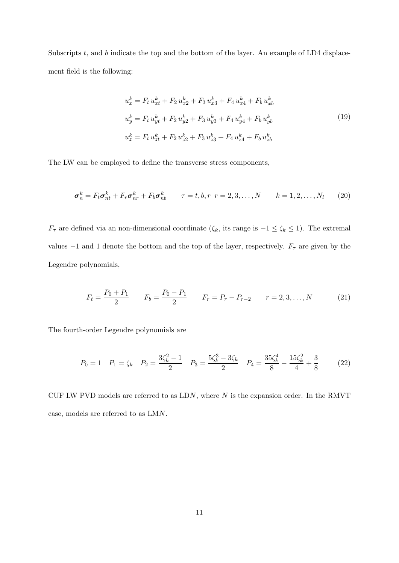Subscripts  $t$ , and  $b$  indicate the top and the bottom of the layer. An example of LD4 displacement field is the following:

$$
u_x^k = F_t u_{xt}^k + F_2 u_{x2}^k + F_3 u_{x3}^k + F_4 u_{x4}^k + F_b u_{xb}^k
$$
  
\n
$$
u_y^k = F_t u_{yt}^k + F_2 u_{y2}^k + F_3 u_{y3}^k + F_4 u_{y4}^k + F_b u_{yb}^k
$$
  
\n
$$
u_z^k = F_t u_{zt}^k + F_2 u_{z2}^k + F_3 u_{z3}^k + F_4 u_{z4}^k + F_b u_{zb}^k
$$
\n(19)

The LW can be employed to define the transverse stress components,

$$
\boldsymbol{\sigma}_n^k = F_t \boldsymbol{\sigma}_{nt}^k + F_r \boldsymbol{\sigma}_{nr}^k + F_b \boldsymbol{\sigma}_{nb}^k \qquad \tau = t, b, r \ \ r = 2, 3, \dots, N \qquad k = 1, 2, \dots, N_l \tag{20}
$$

 $F_{\tau}$  are defined via an non-dimensional coordinate ( $\zeta_k$ , its range is  $-1 \leq \zeta_k \leq 1$ ). The extremal values  $-1$  and 1 denote the bottom and the top of the layer, respectively.  $F_{\tau}$  are given by the Legendre polynomials,

$$
F_t = \frac{P_0 + P_1}{2} \qquad F_b = \frac{P_0 - P_1}{2} \qquad F_r = P_r - P_{r-2} \qquad r = 2, 3, ..., N \tag{21}
$$

The fourth-order Legendre polynomials are

$$
P_0 = 1 \quad P_1 = \zeta_k \quad P_2 = \frac{3\zeta_k^2 - 1}{2} \quad P_3 = \frac{5\zeta_k^3 - 3\zeta_k}{2} \quad P_4 = \frac{35\zeta_k^4}{8} - \frac{15\zeta_k^2}{4} + \frac{3}{8} \tag{22}
$$

CUF LW PVD models are referred to as  $LDN$ , where  $N$  is the expansion order. In the RMVT case, models are referred to as LMN.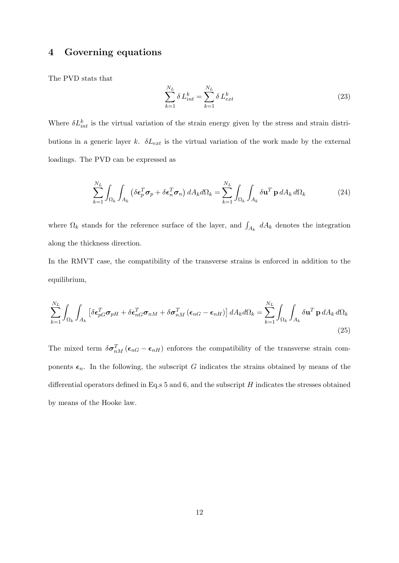### 4 Governing equations

The PVD stats that

$$
\sum_{k=1}^{N_L} \delta L_{int}^k = \sum_{k=1}^{N_L} \delta L_{ext}^k
$$
\n(23)

Where  $\delta L_{int}^{k}$  is the virtual variation of the strain energy given by the stress and strain distributions in a generic layer k.  $\delta L_{ext}$  is the virtual variation of the work made by the external loadings. The PVD can be expressed as

$$
\sum_{k=1}^{N_L} \int_{\Omega_k} \int_{A_k} \left( \delta \boldsymbol{\epsilon}_p^T \boldsymbol{\sigma}_p + \delta \boldsymbol{\epsilon}_n^T \boldsymbol{\sigma}_n \right) dA_k d\Omega_k = \sum_{k=1}^{N_L} \int_{\Omega_k} \int_{A_k} \delta \mathbf{u}^T \mathbf{p} dA_k d\Omega_k \tag{24}
$$

where  $\Omega_k$  stands for the reference surface of the layer, and  $\int_{A_k} dA_k$  denotes the integration along the thickness direction.

In the RMVT case, the compatibility of the transverse strains is enforced in addition to the equilibrium,

$$
\sum_{k=1}^{N_L} \int_{\Omega_k} \int_{A_k} \left[ \delta \boldsymbol{\epsilon}_{pG}^T \boldsymbol{\sigma}_{pH} + \delta \boldsymbol{\epsilon}_{nG}^T \boldsymbol{\sigma}_{nM} + \delta \boldsymbol{\sigma}_{nM}^T (\boldsymbol{\epsilon}_{nG} - \boldsymbol{\epsilon}_{nH}) \right] dA_k d\Omega_k = \sum_{k=1}^{N_L} \int_{\Omega_k} \int_{A_k} \delta \mathbf{u}^T \mathbf{p} dA_k d\Omega_k
$$
\n(25)

The mixed term  $\delta \sigma_{nM}^T (\epsilon_{nG} - \epsilon_{nH})$  enforces the compatibility of the transverse strain components  $\epsilon_n$ . In the following, the subscript G indicates the strains obtained by means of the differential operators defined in Eq.s  $5$  and  $6$ , and the subscript  $H$  indicates the stresses obtained by means of the Hooke law.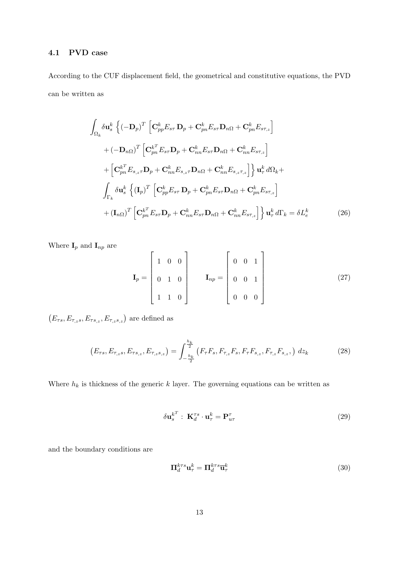#### 4.1 PVD case

According to the CUF displacement field, the geometrical and constitutive equations, the PVD can be written as

$$
\int_{\Omega_{k}} \delta \mathbf{u}_{s}^{k} \left\{ (-\mathbf{D}_{p})^{T} \left[ \mathbf{C}_{pp}^{k} E_{s\tau} \mathbf{D}_{p} + \mathbf{C}_{pn}^{k} E_{s\tau} \mathbf{D}_{n\Omega} + \mathbf{C}_{pn}^{k} E_{s\tau_{,z}} \right] \right.
$$
  
+ 
$$
(-\mathbf{D}_{n\Omega})^{T} \left[ \mathbf{C}_{pn}^{k^{T}} E_{s\tau} \mathbf{D}_{p} + \mathbf{C}_{nn}^{k} E_{s\tau} \mathbf{D}_{n\Omega} + \mathbf{C}_{nn}^{k} E_{s\tau_{,z}} \right]
$$
  
+ 
$$
\left[ \mathbf{C}_{pn}^{k^{T}} E_{s,z\tau} \mathbf{D}_{p} + \mathbf{C}_{nn}^{k} E_{s,z\tau} \mathbf{D}_{n\Omega} + \mathbf{C}_{nn}^{k} E_{s,z\tau_{,z}} \right] \right\} \mathbf{u}_{\tau}^{k} d\Omega_{k} +
$$
  

$$
\int_{\Gamma_{k}} \delta \mathbf{u}_{s}^{k} \left\{ (\mathbf{I}_{p})^{T} \left[ \mathbf{C}_{pp}^{k} E_{s\tau} \mathbf{D}_{p} + \mathbf{C}_{pn}^{k} E_{s\tau} \mathbf{D}_{n\Omega} + \mathbf{C}_{pn}^{k} E_{s\tau_{,z}} \right] \right.
$$
  
+ 
$$
(\mathbf{I}_{n\Omega})^{T} \left[ \mathbf{C}_{pn}^{k^{T}} E_{s\tau} \mathbf{D}_{p} + \mathbf{C}_{nn}^{k} E_{s\tau} \mathbf{D}_{n\Omega} + \mathbf{C}_{nn}^{k} E_{s\tau_{,z}} \right] \right\} \mathbf{u}_{\tau}^{k} d\Gamma_{k} = \delta L_{e}^{k}
$$
(26)

Where  $\mathbf{I}_p$  and  $\mathbf{I}_{np}$  are

$$
\mathbf{I}_p = \begin{bmatrix} 1 & 0 & 0 \\ 0 & 1 & 0 \\ 1 & 1 & 0 \end{bmatrix} \qquad \mathbf{I}_{np} = \begin{bmatrix} 0 & 0 & 1 \\ 0 & 0 & 1 \\ 0 & 0 & 0 \end{bmatrix}
$$
 (27)

 $(E_{\tau s}, E_{\tau, zs}, E_{\tau s,z}, E_{\tau, zs,z})$  are defined as

$$
\left(E_{\tau s}, E_{\tau,s}, E_{\tau s,s}, E_{\tau s,s}\right) = \int_{-\frac{h_k}{2}}^{\frac{h_k}{2}} \left(F_{\tau} F_s, F_{\tau,s} F_s, F_{\tau} F_{s,s}, F_{\tau,s} F_{s,s}\right) \, dz_k \tag{28}
$$

Where  $h_k$  is thickness of the generic k layer. The governing equations can be written as

$$
\delta \mathbf{u}_s^{k^T} : \, \mathbf{K}_d^{\tau s} \cdot \mathbf{u}_\tau^k = \mathbf{P}_{u\tau}^\tau \tag{29}
$$

and the boundary conditions are

$$
\Pi_d^{k\tau s} \mathbf{u}_{\tau}^k = \Pi_d^{k\tau s} \overline{\mathbf{u}}_{\tau}^k \tag{30}
$$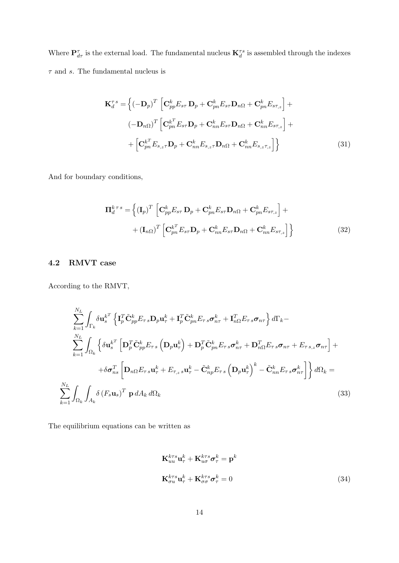Where  $P^{\tau}_{d\tau}$  is the external load. The fundamental nucleus  $\mathbf{K}^{\tau s}_{d}$  is assembled through the indexes  $\tau$  and  $s.$  The fundamental nucleus is

$$
\mathbf{K}_{d}^{\tau s} = \left\{ (-\mathbf{D}_{p})^{T} \left[ \mathbf{C}_{pp}^{k} E_{s\tau} \mathbf{D}_{p} + \mathbf{C}_{pn}^{k} E_{s\tau} \mathbf{D}_{n\Omega} + \mathbf{C}_{pn}^{k} E_{s\tau,z} \right] +
$$
  

$$
(-\mathbf{D}_{n\Omega})^{T} \left[ \mathbf{C}_{pn}^{k^{T}} E_{s\tau} \mathbf{D}_{p} + \mathbf{C}_{nn}^{k} E_{s\tau} \mathbf{D}_{n\Omega} + \mathbf{C}_{nn}^{k} E_{s\tau,z} \right] +
$$
  

$$
+ \left[ \mathbf{C}_{pn}^{k^{T}} E_{s,z\tau} \mathbf{D}_{p} + \mathbf{C}_{nn}^{k} E_{s,z\tau} \mathbf{D}_{n\Omega} + \mathbf{C}_{nn}^{k} E_{s,z\tau,z} \right] \right\}
$$
(31)

And for boundary conditions,

$$
\Pi_d^{k \tau s} = \left\{ (\mathbf{I}_p)^T \left[ \mathbf{C}_{pp}^k E_{s\tau} \mathbf{D}_p + \mathbf{C}_{pn}^k E_{s\tau} \mathbf{D}_{n\Omega} + \mathbf{C}_{pn}^k E_{s\tau,z} \right] + \right.
$$

$$
+ (\mathbf{I}_{n\Omega})^T \left[ \mathbf{C}_{pn}^{k^T} E_{s\tau} \mathbf{D}_p + \mathbf{C}_{nn}^k E_{s\tau} \mathbf{D}_{n\Omega} + \mathbf{C}_{nn}^k E_{s\tau,z} \right] \right\}
$$
(32)

# 4.2 RMVT case

According to the RMVT,

$$
\sum_{k=1}^{N_L} \int_{\Gamma_k} \delta \mathbf{u}_s^{k^T} \left\{ \mathbf{I}_p^T \tilde{\mathbf{C}}_{pp}^k E_{\tau s} \mathbf{D}_p \mathbf{u}_{\tau}^k + \mathbf{I}_p^T \tilde{\mathbf{C}}_{pn}^k E_{\tau s} \boldsymbol{\sigma}_{n\tau}^k + \mathbf{I}_{n\Omega}^T E_{\tau s} \boldsymbol{\sigma}_{n\tau} \right\} d\Gamma_k - \sum_{k=1}^{N_L} \int_{\Omega_k} \left\{ \delta \mathbf{u}_s^{k^T} \left[ \mathbf{D}_p^T \tilde{\mathbf{C}}_{pp}^k E_{\tau s} \left( \mathbf{D}_p \mathbf{u}_{\tau}^k \right) + \mathbf{D}_p^T \tilde{\mathbf{C}}_{pn}^k E_{\tau s} \boldsymbol{\sigma}_{n\tau}^k + \mathbf{D}_{n\Omega}^T E_{\tau s} \boldsymbol{\sigma}_{n\tau} + E_{\tau s,z} \boldsymbol{\sigma}_{n\tau} \right] + \right. \\
\left. + \delta \boldsymbol{\sigma}_{ns}^T \left[ \mathbf{D}_{n\Omega} E_{\tau s} \mathbf{u}_{\tau}^k + E_{\tau,z} \mathbf{u}_{\tau}^k - \tilde{\mathbf{C}}_{np}^k E_{\tau s} \left( \mathbf{D}_p \mathbf{u}_{\tau}^k \right)^k - \tilde{\mathbf{C}}_{nn}^k E_{\tau s} \boldsymbol{\sigma}_{n\tau}^k \right] \right\} d\Omega_k = \sum_{k=1}^{N_L} \int_{\Omega_k} \int_{A_k} \delta (F_s \mathbf{u}_s)^T \mathbf{p} dA_k d\Omega_k
$$
\n(33)

The equilibrium equations can be written as

$$
\mathbf{K}_{uu}^{k\tau s} \mathbf{u}_{\tau}^{k} + \mathbf{K}_{u\sigma}^{k\tau s} \boldsymbol{\sigma}_{\tau}^{k} = \mathbf{p}^{k}
$$
\n
$$
\mathbf{K}_{\sigma u}^{k\tau s} \mathbf{u}_{\tau}^{k} + \mathbf{K}_{\sigma \sigma}^{k\tau s} \boldsymbol{\sigma}_{\tau}^{k} = 0
$$
\n(34)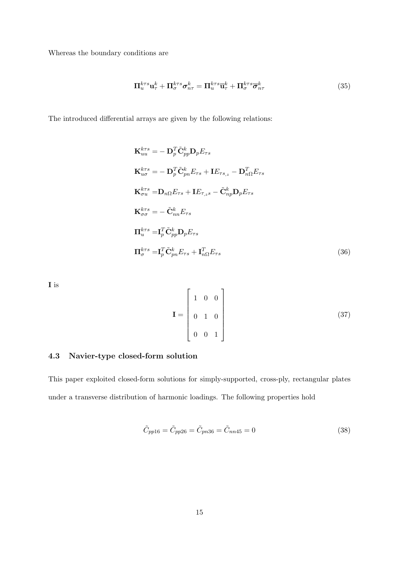Whereas the boundary conditions are

$$
\Pi_{u}^{k\tau s} \mathbf{u}_{\tau}^{k} + \Pi_{\sigma}^{k\tau s} \sigma_{n\tau}^{k} = \Pi_{u}^{k\tau s} \overline{\mathbf{u}}_{\tau}^{k} + \Pi_{\sigma}^{k\tau s} \overline{\sigma}_{n\tau}^{k}
$$
(35)

The introduced differential arrays are given by the following relations:

$$
\mathbf{K}_{uu}^{k\tau s} = -\mathbf{D}_{p}^{T} \tilde{\mathbf{C}}_{pp}^{k} \mathbf{D}_{p} E_{\tau s}
$$
\n
$$
\mathbf{K}_{u\sigma}^{k\tau s} = -\mathbf{D}_{p}^{T} \tilde{\mathbf{C}}_{pn}^{k} E_{\tau s} + \mathbf{I} E_{\tau s,z} - \mathbf{D}_{n\Omega}^{T} E_{\tau s}
$$
\n
$$
\mathbf{K}_{\sigma u}^{k\tau s} = \mathbf{D}_{n\Omega} E_{\tau s} + \mathbf{I} E_{\tau,zs} - \tilde{\mathbf{C}}_{np}^{k} \mathbf{D}_{p} E_{\tau s}
$$
\n
$$
\mathbf{K}_{\sigma\sigma}^{k\tau s} = -\tilde{\mathbf{C}}_{nn}^{k} E_{\tau s}
$$
\n
$$
\mathbf{\Pi}_{u}^{k\tau s} = \mathbf{I}_{p}^{T} \tilde{\mathbf{C}}_{pp}^{k} \mathbf{D}_{p} E_{\tau s}
$$
\n
$$
\mathbf{\Pi}_{\sigma}^{k\tau s} = \mathbf{I}_{p}^{T} \tilde{\mathbf{C}}_{pn}^{k} E_{\tau s} + \mathbf{I}_{n\Omega}^{T} E_{\tau s}
$$
\n(36)

I is

$$
\mathbf{I} = \begin{bmatrix} 1 & 0 & 0 \\ 0 & 1 & 0 \\ 0 & 0 & 1 \end{bmatrix}
$$
 (37)

### 4.3 Navier-type closed-form solution

This paper exploited closed-form solutions for simply-supported, cross-ply, rectangular plates under a transverse distribution of harmonic loadings. The following properties hold

$$
\tilde{C}_{pp16} = \tilde{C}_{pp26} = \tilde{C}_{pn36} = \tilde{C}_{nn45} = 0
$$
\n(38)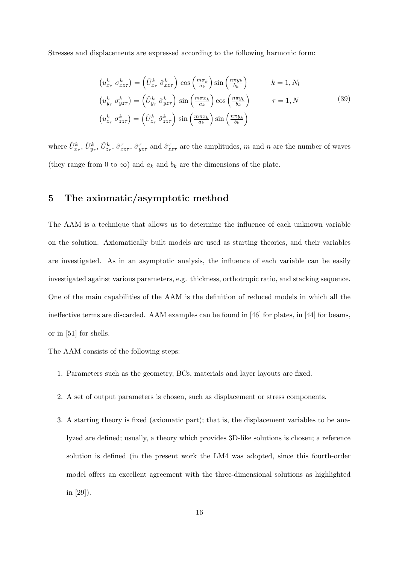Stresses and displacements are expressed according to the following harmonic form:

$$
\left(u_{x_{\tau}}^{k} \sigma_{x_{\tau}}^{k}\right) = \left(\hat{U}_{x_{\tau}}^{k} \hat{\sigma}_{x_{\tau}}^{k}\right) \cos\left(\frac{m\pi_{k}}{a_{k}}\right) \sin\left(\frac{n\pi y_{k}}{b_{k}}\right) \qquad k = 1, N_{l}
$$
\n
$$
\left(u_{y_{\tau}}^{k} \sigma_{y_{\tau}}^{k}\right) = \left(\hat{U}_{y_{\tau}}^{k} \hat{\sigma}_{y_{\tau}}^{k}\right) \sin\left(\frac{m\pi x_{k}}{a_{k}}\right) \cos\left(\frac{n\pi y_{k}}{b_{k}}\right) \qquad \tau = 1, N
$$
\n
$$
\left(u_{z_{\tau}}^{k} \sigma_{z_{\tau}}^{k}\right) = \left(\hat{U}_{z_{\tau}}^{k} \hat{\sigma}_{z_{\tau}}^{k}\right) \sin\left(\frac{m\pi x_{k}}{a_{k}}\right) \sin\left(\frac{n\pi y_{k}}{b_{k}}\right) \qquad (39)
$$

where  $\hat{U}_{x_\tau}^k$ ,  $\hat{U}_{y_\tau}^k$ ,  $\hat{U}_{z_\tau}^k$ ,  $\hat{\sigma}_{xz\tau}^\tau$ ,  $\hat{\sigma}_{yz\tau}^\tau$  and  $\hat{\sigma}_{zz\tau}^\tau$  are the amplitudes, m and n are the number of waves (they range from 0 to  $\infty$ ) and  $a_k$  and  $b_k$  are the dimensions of the plate.

## 5 The axiomatic/asymptotic method

The AAM is a technique that allows us to determine the influence of each unknown variable on the solution. Axiomatically built models are used as starting theories, and their variables are investigated. As in an asymptotic analysis, the influence of each variable can be easily investigated against various parameters, e.g. thickness, orthotropic ratio, and stacking sequence. One of the main capabilities of the AAM is the definition of reduced models in which all the ineffective terms are discarded. AAM examples can be found in [46] for plates, in [44] for beams, or in [51] for shells.

The AAM consists of the following steps:

- 1. Parameters such as the geometry, BCs, materials and layer layouts are fixed.
- 2. A set of output parameters is chosen, such as displacement or stress components.
- 3. A starting theory is fixed (axiomatic part); that is, the displacement variables to be analyzed are defined; usually, a theory which provides 3D-like solutions is chosen; a reference solution is defined (in the present work the LM4 was adopted, since this fourth-order model offers an excellent agreement with the three-dimensional solutions as highlighted in [29]).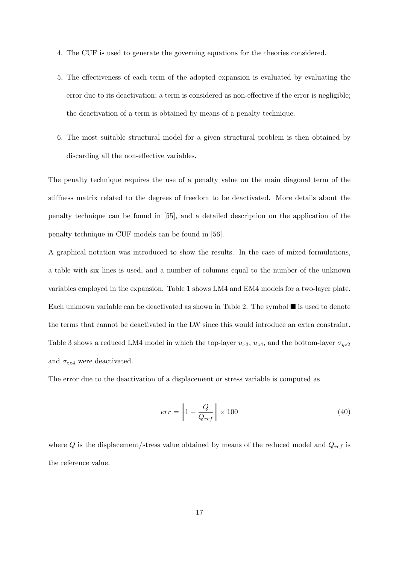- 4. The CUF is used to generate the governing equations for the theories considered.
- 5. The effectiveness of each term of the adopted expansion is evaluated by evaluating the error due to its deactivation; a term is considered as non-effective if the error is negligible; the deactivation of a term is obtained by means of a penalty technique.
- 6. The most suitable structural model for a given structural problem is then obtained by discarding all the non-effective variables.

The penalty technique requires the use of a penalty value on the main diagonal term of the stiffness matrix related to the degrees of freedom to be deactivated. More details about the penalty technique can be found in [55], and a detailed description on the application of the penalty technique in CUF models can be found in [56].

A graphical notation was introduced to show the results. In the case of mixed formulations, a table with six lines is used, and a number of columns equal to the number of the unknown variables employed in the expansion. Table 1 shows LM4 and EM4 models for a two-layer plate. Each unknown variable can be deactivated as shown in Table 2. The symbol  $\blacksquare$  is used to denote the terms that cannot be deactivated in the LW since this would introduce an extra constraint. Table 3 shows a reduced LM4 model in which the top-layer  $u_{x3}$ ,  $u_{z4}$ , and the bottom-layer  $\sigma_{yz2}$ and  $\sigma_{zz4}$  were deactivated.

The error due to the deactivation of a displacement or stress variable is computed as

$$
err = \left\| 1 - \frac{Q}{Q_{ref}} \right\| \times 100 \tag{40}
$$

where  $Q$  is the displacement/stress value obtained by means of the reduced model and  $Q_{ref}$  is the reference value.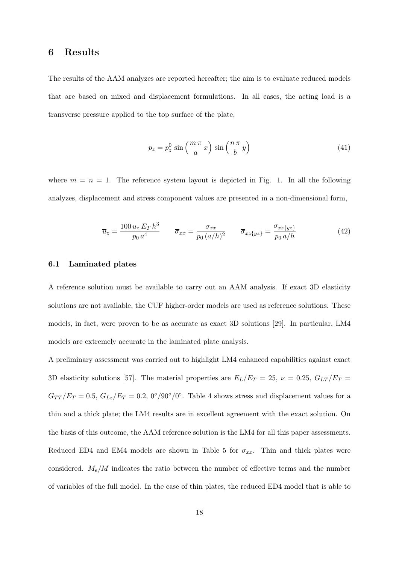#### 6 Results

The results of the AAM analyzes are reported hereafter; the aim is to evaluate reduced models that are based on mixed and displacement formulations. In all cases, the acting load is a transverse pressure applied to the top surface of the plate,

$$
p_z = p_z^0 \sin\left(\frac{m\pi}{a}x\right) \sin\left(\frac{n\pi}{b}y\right) \tag{41}
$$

where  $m = n = 1$ . The reference system layout is depicted in Fig. 1. In all the following analyzes, displacement and stress component values are presented in a non-dimensional form,

$$
\overline{u}_z = \frac{100 u_z E_T h^3}{p_0 a^4} \qquad \overline{\sigma}_{xx} = \frac{\sigma_{xx}}{p_0 (a/h)^2} \qquad \overline{\sigma}_{xz\{yz\}} = \frac{\sigma_{xz\{yz\}}}{p_0 a/h}
$$
(42)

#### 6.1 Laminated plates

A reference solution must be available to carry out an AAM analysis. If exact 3D elasticity solutions are not available, the CUF higher-order models are used as reference solutions. These models, in fact, were proven to be as accurate as exact 3D solutions [29]. In particular, LM4 models are extremely accurate in the laminated plate analysis.

A preliminary assessment was carried out to highlight LM4 enhanced capabilities against exact 3D elasticity solutions [57]. The material properties are  $E_L/E_T = 25$ ,  $\nu = 0.25$ ,  $G_{LT}/E_T =$  $G_{TT}/E_T = 0.5, G_{Lz}/E_T = 0.2, 0°/90°/0°$ . Table 4 shows stress and displacement values for a thin and a thick plate; the LM4 results are in excellent agreement with the exact solution. On the basis of this outcome, the AAM reference solution is the LM4 for all this paper assessments. Reduced ED4 and EM4 models are shown in Table 5 for  $\sigma_{xx}$ . Thin and thick plates were considered.  $M_e/M$  indicates the ratio between the number of effective terms and the number of variables of the full model. In the case of thin plates, the reduced ED4 model that is able to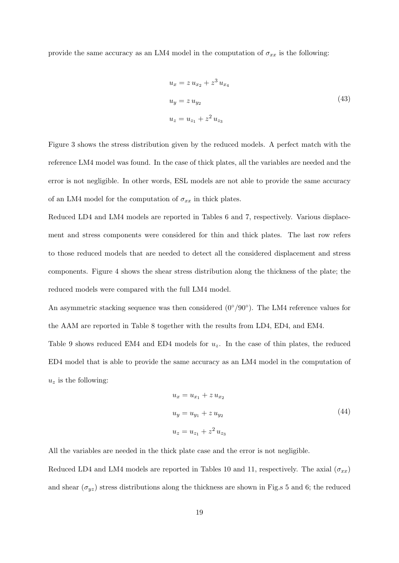provide the same accuracy as an LM4 model in the computation of  $\sigma_{xx}$  is the following:

$$
u_x = z u_{x_2} + z^3 u_{x_4}
$$
  
\n
$$
u_y = z u_{y_2}
$$
  
\n
$$
u_z = u_{z_1} + z^2 u_{z_3}
$$
\n(43)

Figure 3 shows the stress distribution given by the reduced models. A perfect match with the reference LM4 model was found. In the case of thick plates, all the variables are needed and the error is not negligible. In other words, ESL models are not able to provide the same accuracy of an LM4 model for the computation of  $\sigma_{xx}$  in thick plates.

Reduced LD4 and LM4 models are reported in Tables 6 and 7, respectively. Various displacement and stress components were considered for thin and thick plates. The last row refers to those reduced models that are needed to detect all the considered displacement and stress components. Figure 4 shows the shear stress distribution along the thickness of the plate; the reduced models were compared with the full LM4 model.

An asymmetric stacking sequence was then considered  $(0^{\circ}/90^{\circ})$ . The LM4 reference values for the AAM are reported in Table 8 together with the results from LD4, ED4, and EM4.

Table 9 shows reduced EM4 and ED4 models for  $u_z$ . In the case of thin plates, the reduced ED4 model that is able to provide the same accuracy as an LM4 model in the computation of  $u_z$  is the following:

$$
u_x = u_{x_1} + z u_{x_2}
$$
  
\n
$$
u_y = u_{y_1} + z u_{y_2}
$$
  
\n
$$
u_z = u_{z_1} + z^2 u_{z_3}
$$
\n(44)

All the variables are needed in the thick plate case and the error is not negligible.

Reduced LD4 and LM4 models are reported in Tables 10 and 11, respectively. The axial  $(\sigma_{xx})$ and shear  $(\sigma_{yz})$  stress distributions along the thickness are shown in Fig.s 5 and 6; the reduced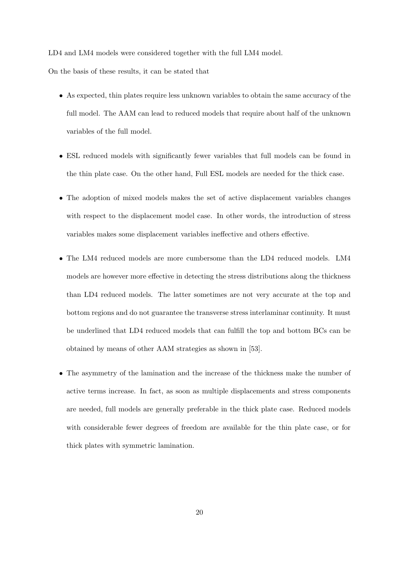LD4 and LM4 models were considered together with the full LM4 model.

On the basis of these results, it can be stated that

- As expected, thin plates require less unknown variables to obtain the same accuracy of the full model. The AAM can lead to reduced models that require about half of the unknown variables of the full model.
- ESL reduced models with significantly fewer variables that full models can be found in the thin plate case. On the other hand, Full ESL models are needed for the thick case.
- The adoption of mixed models makes the set of active displacement variables changes with respect to the displacement model case. In other words, the introduction of stress variables makes some displacement variables ineffective and others effective.
- The LM4 reduced models are more cumbersome than the LD4 reduced models. LM4 models are however more effective in detecting the stress distributions along the thickness than LD4 reduced models. The latter sometimes are not very accurate at the top and bottom regions and do not guarantee the transverse stress interlaminar continuity. It must be underlined that LD4 reduced models that can fulfill the top and bottom BCs can be obtained by means of other AAM strategies as shown in [53].
- The asymmetry of the lamination and the increase of the thickness make the number of active terms increase. In fact, as soon as multiple displacements and stress components are needed, full models are generally preferable in the thick plate case. Reduced models with considerable fewer degrees of freedom are available for the thin plate case, or for thick plates with symmetric lamination.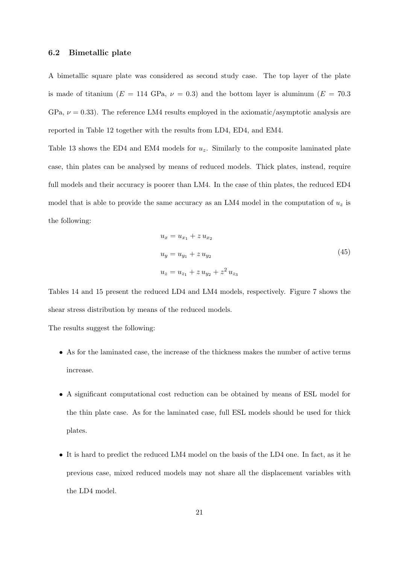#### 6.2 Bimetallic plate

A bimetallic square plate was considered as second study case. The top layer of the plate is made of titanium ( $E = 114 \text{ GPa}$ ,  $\nu = 0.3$ ) and the bottom layer is aluminum ( $E = 70.3$ ) GPa,  $\nu = 0.33$ ). The reference LM4 results employed in the axiomatic/asymptotic analysis are reported in Table 12 together with the results from LD4, ED4, and EM4.

Table 13 shows the ED4 and EM4 models for  $u_z$ . Similarly to the composite laminated plate case, thin plates can be analysed by means of reduced models. Thick plates, instead, require full models and their accuracy is poorer than LM4. In the case of thin plates, the reduced ED4 model that is able to provide the same accuracy as an LM4 model in the computation of  $u<sub>z</sub>$  is the following:

$$
u_x = u_{x_1} + z u_{x_2}
$$
  
\n
$$
u_y = u_{y_1} + z u_{y_2}
$$
  
\n
$$
u_z = u_{z_1} + z u_{y_2} + z^2 u_{z_3}
$$
\n(45)

Tables 14 and 15 present the reduced LD4 and LM4 models, respectively. Figure 7 shows the shear stress distribution by means of the reduced models.

The results suggest the following:

- As for the laminated case, the increase of the thickness makes the number of active terms increase.
- A significant computational cost reduction can be obtained by means of ESL model for the thin plate case. As for the laminated case, full ESL models should be used for thick plates.
- It is hard to predict the reduced LM4 model on the basis of the LD4 one. In fact, as it he previous case, mixed reduced models may not share all the displacement variables with the LD4 model.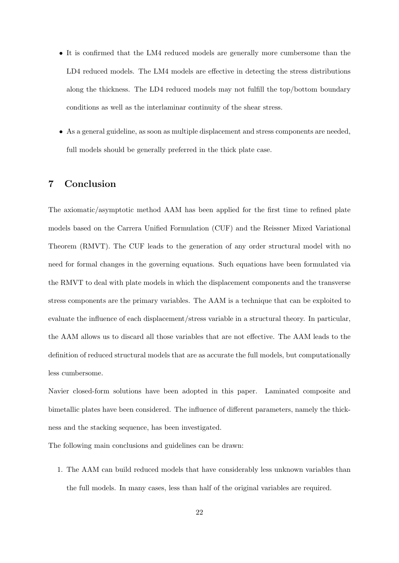- It is confirmed that the LM4 reduced models are generally more cumbersome than the LD4 reduced models. The LM4 models are effective in detecting the stress distributions along the thickness. The LD4 reduced models may not fulfill the top/bottom boundary conditions as well as the interlaminar continuity of the shear stress.
- As a general guideline, as soon as multiple displacement and stress components are needed, full models should be generally preferred in the thick plate case.

## 7 Conclusion

The axiomatic/asymptotic method AAM has been applied for the first time to refined plate models based on the Carrera Unified Formulation (CUF) and the Reissner Mixed Variational Theorem (RMVT). The CUF leads to the generation of any order structural model with no need for formal changes in the governing equations. Such equations have been formulated via the RMVT to deal with plate models in which the displacement components and the transverse stress components are the primary variables. The AAM is a technique that can be exploited to evaluate the influence of each displacement/stress variable in a structural theory. In particular, the AAM allows us to discard all those variables that are not effective. The AAM leads to the definition of reduced structural models that are as accurate the full models, but computationally less cumbersome.

Navier closed-form solutions have been adopted in this paper. Laminated composite and bimetallic plates have been considered. The influence of different parameters, namely the thickness and the stacking sequence, has been investigated.

The following main conclusions and guidelines can be drawn:

1. The AAM can build reduced models that have considerably less unknown variables than the full models. In many cases, less than half of the original variables are required.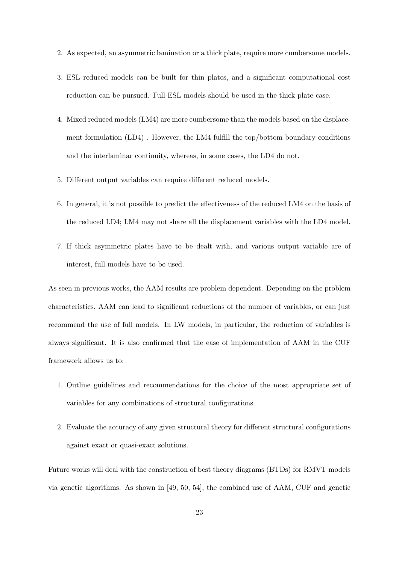- 2. As expected, an asymmetric lamination or a thick plate, require more cumbersome models.
- 3. ESL reduced models can be built for thin plates, and a significant computational cost reduction can be pursued. Full ESL models should be used in the thick plate case.
- 4. Mixed reduced models (LM4) are more cumbersome than the models based on the displacement formulation (LD4) . However, the LM4 fulfill the top/bottom boundary conditions and the interlaminar continuity, whereas, in some cases, the LD4 do not.
- 5. Different output variables can require different reduced models.
- 6. In general, it is not possible to predict the effectiveness of the reduced LM4 on the basis of the reduced LD4; LM4 may not share all the displacement variables with the LD4 model.
- 7. If thick asymmetric plates have to be dealt with, and various output variable are of interest, full models have to be used.

As seen in previous works, the AAM results are problem dependent. Depending on the problem characteristics, AAM can lead to significant reductions of the number of variables, or can just recommend the use of full models. In LW models, in particular, the reduction of variables is always significant. It is also confirmed that the ease of implementation of AAM in the CUF framework allows us to:

- 1. Outline guidelines and recommendations for the choice of the most appropriate set of variables for any combinations of structural configurations.
- 2. Evaluate the accuracy of any given structural theory for different structural configurations against exact or quasi-exact solutions.

Future works will deal with the construction of best theory diagrams (BTDs) for RMVT models via genetic algorithms. As shown in [49, 50, 54], the combined use of AAM, CUF and genetic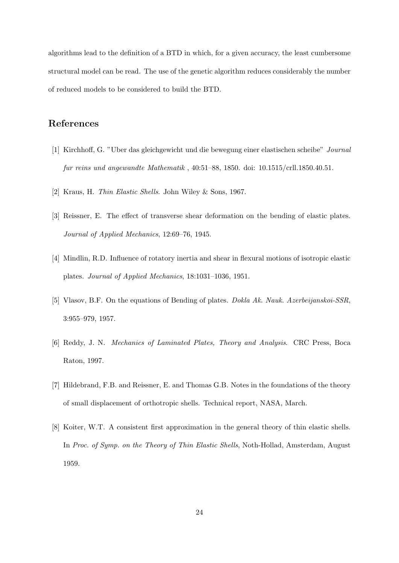algorithms lead to the definition of a BTD in which, for a given accuracy, the least cumbersome structural model can be read. The use of the genetic algorithm reduces considerably the number of reduced models to be considered to build the BTD.

# References

- [1] Kirchhoff, G. "Uber das gleichgewicht und die bewegung einer elastischen scheibe" Journal fur reins und angewandte Mathematik , 40:51–88, 1850. doi: 10.1515/crll.1850.40.51.
- [2] Kraus, H. Thin Elastic Shells. John Wiley & Sons, 1967.
- [3] Reissner, E. The effect of transverse shear deformation on the bending of elastic plates. Journal of Applied Mechanics, 12:69–76, 1945.
- [4] Mindlin, R.D. Influence of rotatory inertia and shear in flexural motions of isotropic elastic plates. Journal of Applied Mechanics, 18:1031–1036, 1951.
- [5] Vlasov, B.F. On the equations of Bending of plates. Dokla Ak. Nauk. Azerbeijanskoi-SSR, 3:955–979, 1957.
- [6] Reddy, J. N. Mechanics of Laminated Plates, Theory and Analysis. CRC Press, Boca Raton, 1997.
- [7] Hildebrand, F.B. and Reissner, E. and Thomas G.B. Notes in the foundations of the theory of small displacement of orthotropic shells. Technical report, NASA, March.
- [8] Koiter, W.T. A consistent first approximation in the general theory of thin elastic shells. In Proc. of Symp. on the Theory of Thin Elastic Shells, Noth-Hollad, Amsterdam, August 1959.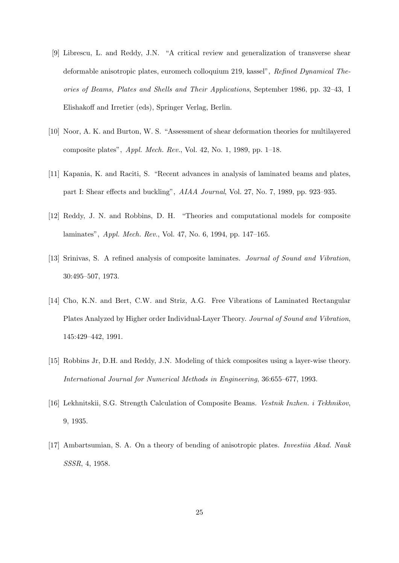- [9] Librescu, L. and Reddy, J.N. "A critical review and generalization of transverse shear deformable anisotropic plates, euromech colloquium 219, kassel", Refined Dynamical Theories of Beams, Plates and Shells and Their Applications, September 1986, pp. 32–43, I Elishakoff and Irretier (eds), Springer Verlag, Berlin.
- [10] Noor, A. K. and Burton, W. S. "Assessment of shear deformation theories for multilayered composite plates", *Appl. Mech. Rev.*, Vol. 42, No. 1, 1989, pp.  $1-18$ .
- [11] Kapania, K. and Raciti, S. "Recent advances in analysis of laminated beams and plates, part I: Shear effects and buckling", AIAA Journal, Vol. 27, No. 7, 1989, pp. 923–935.
- [12] Reddy, J. N. and Robbins, D. H. "Theories and computational models for composite laminates", Appl. Mech. Rev., Vol. 47, No. 6, 1994, pp. 147–165.
- [13] Srinivas, S. A refined analysis of composite laminates. Journal of Sound and Vibration, 30:495–507, 1973.
- [14] Cho, K.N. and Bert, C.W. and Striz, A.G. Free Vibrations of Laminated Rectangular Plates Analyzed by Higher order Individual-Layer Theory. Journal of Sound and Vibration, 145:429–442, 1991.
- [15] Robbins Jr, D.H. and Reddy, J.N. Modeling of thick composites using a layer-wise theory. International Journal for Numerical Methods in Engineering, 36:655–677, 1993.
- [16] Lekhnitskii, S.G. Strength Calculation of Composite Beams. Vestnik Inzhen. i Tekhnikov, 9, 1935.
- [17] Ambartsumian, S. A. On a theory of bending of anisotropic plates. Investiia Akad. Nauk SSSR, 4, 1958.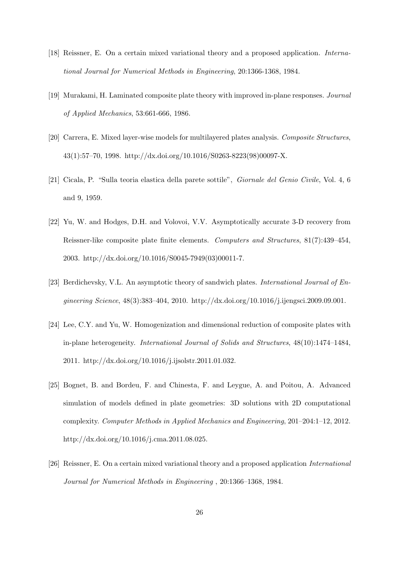- [18] Reissner, E. On a certain mixed variational theory and a proposed application. International Journal for Numerical Methods in Engineering, 20:1366-1368, 1984.
- [19] Murakami, H. Laminated composite plate theory with improved in-plane responses. Journal of Applied Mechanics, 53:661-666, 1986.
- [20] Carrera, E. Mixed layer-wise models for multilayered plates analysis. Composite Structures, 43(1):57–70, 1998. http://dx.doi.org/10.1016/S0263-8223(98)00097-X.
- [21] Cicala, P. "Sulla teoria elastica della parete sottile", Giornale del Genio Civile, Vol. 4, 6 and 9, 1959.
- [22] Yu, W. and Hodges, D.H. and Volovoi, V.V. Asymptotically accurate 3-D recovery from Reissner-like composite plate finite elements. Computers and Structures, 81(7):439–454, 2003. http://dx.doi.org/10.1016/S0045-7949(03)00011-7.
- [23] Berdichevsky, V.L. An asymptotic theory of sandwich plates. *International Journal of En*gineering Science, 48(3):383–404, 2010. http://dx.doi.org/10.1016/j.ijengsci.2009.09.001.
- [24] Lee, C.Y. and Yu, W. Homogenization and dimensional reduction of composite plates with in-plane heterogeneity. International Journal of Solids and Structures, 48(10):1474–1484, 2011. http://dx.doi.org/10.1016/j.ijsolstr.2011.01.032.
- [25] Bognet, B. and Bordeu, F. and Chinesta, F. and Leygue, A. and Poitou, A. Advanced simulation of models defined in plate geometries: 3D solutions with 2D computational complexity. Computer Methods in Applied Mechanics and Engineering, 201–204:1–12, 2012. http://dx.doi.org/10.1016/j.cma.2011.08.025.
- [26] Reissner, E. On a certain mixed variational theory and a proposed application International Journal for Numerical Methods in Engineering , 20:1366–1368, 1984.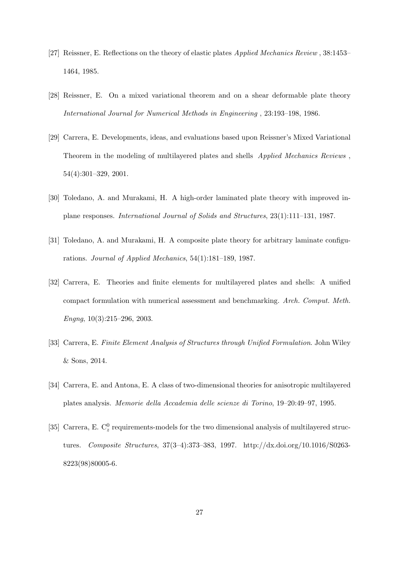- [27] Reissner, E. Reflections on the theory of elastic plates Applied Mechanics Review , 38:1453– 1464, 1985.
- [28] Reissner, E. On a mixed variational theorem and on a shear deformable plate theory International Journal for Numerical Methods in Engineering , 23:193–198, 1986.
- [29] Carrera, E. Developments, ideas, and evaluations based upon Reissner's Mixed Variational Theorem in the modeling of multilayered plates and shells Applied Mechanics Reviews , 54(4):301–329, 2001.
- [30] Toledano, A. and Murakami, H. A high-order laminated plate theory with improved inplane responses. International Journal of Solids and Structures, 23(1):111–131, 1987.
- [31] Toledano, A. and Murakami, H. A composite plate theory for arbitrary laminate configurations. Journal of Applied Mechanics, 54(1):181–189, 1987.
- [32] Carrera, E. Theories and finite elements for multilayered plates and shells: A unified compact formulation with numerical assessment and benchmarking. Arch. Comput. Meth. Engna,  $10(3):215-296$ ,  $2003$ .
- [33] Carrera, E. Finite Element Analysis of Structures through Unified Formulation. John Wiley & Sons, 2014.
- [34] Carrera, E. and Antona, E. A class of two-dimensional theories for anisotropic multilayered plates analysis. Memorie della Accademia delle scienze di Torino, 19–20:49–97, 1995.
- [35] Carrera, E.  $C_z^0$  requirements-models for the two dimensional analysis of multilayered structures. Composite Structures, 37(3–4):373–383, 1997. http://dx.doi.org/10.1016/S0263- 8223(98)80005-6.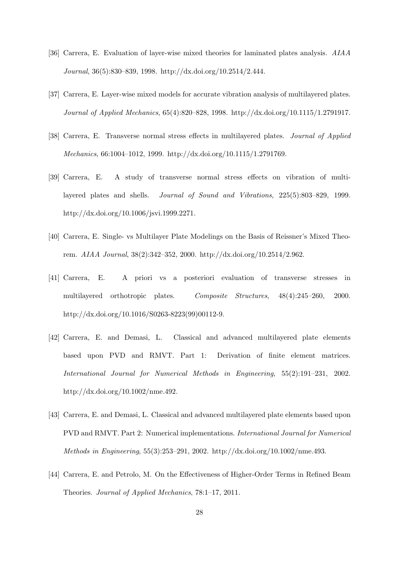- [36] Carrera, E. Evaluation of layer-wise mixed theories for laminated plates analysis. AIAA Journal, 36(5):830–839, 1998. http://dx.doi.org/10.2514/2.444.
- [37] Carrera, E. Layer-wise mixed models for accurate vibration analysis of multilayered plates. Journal of Applied Mechanics, 65(4):820–828, 1998. http://dx.doi.org/10.1115/1.2791917.
- [38] Carrera, E. Transverse normal stress effects in multilayered plates. Journal of Applied Mechanics, 66:1004–1012, 1999. http://dx.doi.org/10.1115/1.2791769.
- [39] Carrera, E. A study of transverse normal stress effects on vibration of multilayered plates and shells. Journal of Sound and Vibrations, 225(5):803–829, 1999. http://dx.doi.org/10.1006/jsvi.1999.2271.
- [40] Carrera, E. Single- vs Multilayer Plate Modelings on the Basis of Reissner's Mixed Theorem. AIAA Journal, 38(2):342–352, 2000. http://dx.doi.org/10.2514/2.962.
- [41] Carrera, E. A priori vs a posteriori evaluation of transverse stresses in multilayered orthotropic plates. Composite Structures,  $48(4):245-260$ , 2000. http://dx.doi.org/10.1016/S0263-8223(99)00112-9.
- [42] Carrera, E. and Demasi, L. Classical and advanced multilayered plate elements based upon PVD and RMVT. Part 1: Derivation of finite element matrices. International Journal for Numerical Methods in Engineering, 55(2):191–231, 2002. http://dx.doi.org/10.1002/nme.492.
- [43] Carrera, E. and Demasi, L. Classical and advanced multilayered plate elements based upon PVD and RMVT. Part 2: Numerical implementations. International Journal for Numerical Methods in Engineering, 55(3):253–291, 2002. http://dx.doi.org/10.1002/nme.493.
- [44] Carrera, E. and Petrolo, M. On the Effectiveness of Higher-Order Terms in Refined Beam Theories. Journal of Applied Mechanics, 78:1–17, 2011.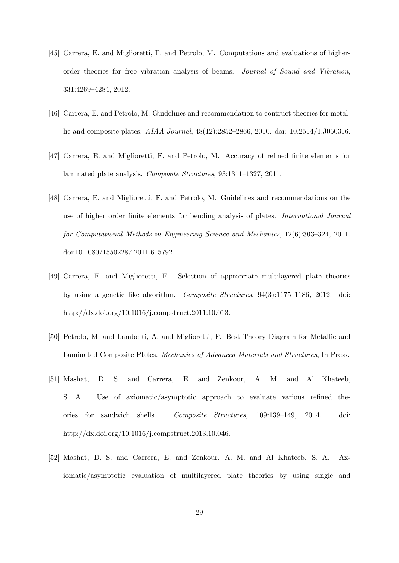- [45] Carrera, E. and Miglioretti, F. and Petrolo, M. Computations and evaluations of higherorder theories for free vibration analysis of beams. Journal of Sound and Vibration, 331:4269–4284, 2012.
- [46] Carrera, E. and Petrolo, M. Guidelines and recommendation to contruct theories for metallic and composite plates. AIAA Journal, 48(12):2852–2866, 2010. doi: 10.2514/1.J050316.
- [47] Carrera, E. and Miglioretti, F. and Petrolo, M. Accuracy of refined finite elements for laminated plate analysis. Composite Structures, 93:1311–1327, 2011.
- [48] Carrera, E. and Miglioretti, F. and Petrolo, M. Guidelines and recommendations on the use of higher order finite elements for bending analysis of plates. International Journal for Computational Methods in Engineering Science and Mechanics, 12(6):303–324, 2011. doi:10.1080/15502287.2011.615792.
- [49] Carrera, E. and Miglioretti, F. Selection of appropriate multilayered plate theories by using a genetic like algorithm. Composite Structures, 94(3):1175–1186, 2012. doi: http://dx.doi.org/10.1016/j.compstruct.2011.10.013.
- [50] Petrolo, M. and Lamberti, A. and Miglioretti, F. Best Theory Diagram for Metallic and Laminated Composite Plates. Mechanics of Advanced Materials and Structures, In Press.
- [51] Mashat, D. S. and Carrera, E. and Zenkour, A. M. and Al Khateeb, S. A. Use of axiomatic/asymptotic approach to evaluate various refined theories for sandwich shells. Composite Structures, 109:139–149, 2014. doi: http://dx.doi.org/10.1016/j.compstruct.2013.10.046.
- [52] Mashat, D. S. and Carrera, E. and Zenkour, A. M. and Al Khateeb, S. A. Axiomatic/asymptotic evaluation of multilayered plate theories by using single and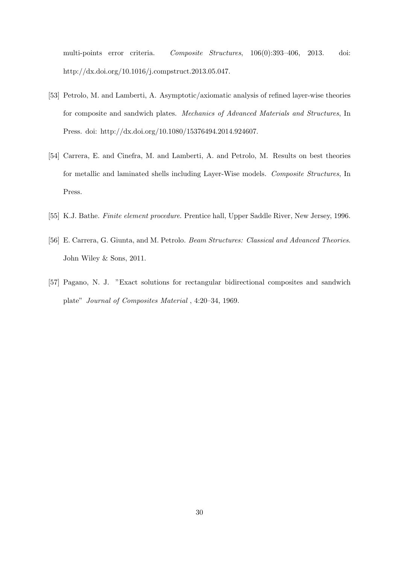multi-points error criteria. Composite Structures, 106(0):393–406, 2013. doi: http://dx.doi.org/10.1016/j.compstruct.2013.05.047.

- [53] Petrolo, M. and Lamberti, A. Asymptotic/axiomatic analysis of refined layer-wise theories for composite and sandwich plates. Mechanics of Advanced Materials and Structures, In Press. doi: http://dx.doi.org/10.1080/15376494.2014.924607.
- [54] Carrera, E. and Cinefra, M. and Lamberti, A. and Petrolo, M. Results on best theories for metallic and laminated shells including Layer-Wise models. Composite Structures, In Press.
- [55] K.J. Bathe. Finite element procedure. Prentice hall, Upper Saddle River, New Jersey, 1996.
- [56] E. Carrera, G. Giunta, and M. Petrolo. Beam Structures: Classical and Advanced Theories. John Wiley & Sons, 2011.
- [57] Pagano, N. J. "Exact solutions for rectangular bidirectional composites and sandwich plate" Journal of Composites Material , 4:20–34, 1969.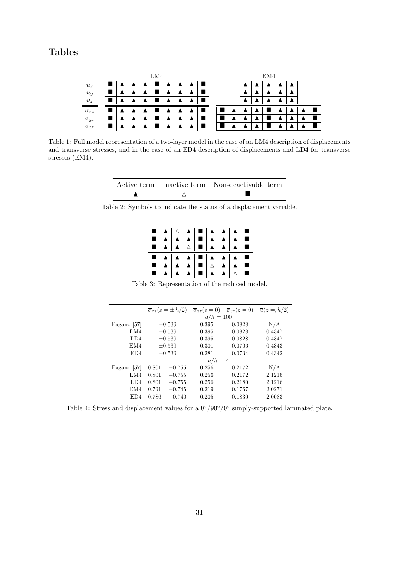# Tables

|                              |  |  | LM4 |  |  |  |  | EM4 |  |  |
|------------------------------|--|--|-----|--|--|--|--|-----|--|--|
| $u_x$                        |  |  |     |  |  |  |  |     |  |  |
| $\boldsymbol{u_y}$           |  |  |     |  |  |  |  |     |  |  |
| $u_{\boldsymbol{z}}$         |  |  |     |  |  |  |  |     |  |  |
| $\sigma_{xz}$                |  |  |     |  |  |  |  |     |  |  |
|                              |  |  |     |  |  |  |  |     |  |  |
| $\sigma_{yz} \\ \sigma_{zz}$ |  |  |     |  |  |  |  |     |  |  |

Table 1: Full model representation of a two-layer model in the case of an LM4 description of displacements and transverse stresses, and in the case of an ED4 description of displacements and LD4 for transverse stresses (EM4).

|  | Active term Inactive term Non-deactivable term |
|--|------------------------------------------------|
|  |                                                |

Table 2: Symbols to indicate the status of a displacement variable.



Table 3: Representation of the reduced model.

|                 |       | $\overline{\sigma}_{xx}(z=\pm h/2)$ |             | $\overline{\sigma}_{xz}(z=0)$ $\overline{\sigma}_{yz}(z=0)$ $\overline{u}(z=\overline{h}/2)$ |        |
|-----------------|-------|-------------------------------------|-------------|----------------------------------------------------------------------------------------------|--------|
|                 |       |                                     | $a/h = 100$ |                                                                                              |        |
| Pagano [57]     |       | $\pm 0.539$                         | 0.395       | 0.0828                                                                                       | N/A    |
| LM4             |       | $\pm 0.539$                         | 0.395       | 0.0828                                                                                       | 0.4347 |
| LD4             |       | $\pm 0.539$                         | 0.395       | 0.0828                                                                                       | 0.4347 |
| EM4             |       | $\pm 0.539$                         | 0.301       | 0.0706                                                                                       | 0.4343 |
| ED <sub>4</sub> |       | $+0.539$                            | 0.281       | 0.0734                                                                                       | 0.4342 |
|                 |       |                                     | $a/h=4$     |                                                                                              |        |
| Pagano [57]     | 0.801 | $-0.755$                            | 0.256       | 0.2172                                                                                       | N/A    |
| LM4             | 0.801 | $-0.755$                            | 0.256       | 0.2172                                                                                       | 2.1216 |
| LD4             | 0.801 | $-0.755$                            | 0.256       | 0.2180                                                                                       | 2.1216 |
| EM4             | 0.791 | $-0.745$                            | 0.219       | 0.1767                                                                                       | 2.0271 |
| ED4             | 0.786 | $-0.740$                            | 0.205       | 0.1830                                                                                       | 2.0083 |

Table 4: Stress and displacement values for a  $0^{\circ}/90^{\circ}/0^{\circ}$  simply-supported laminated plate.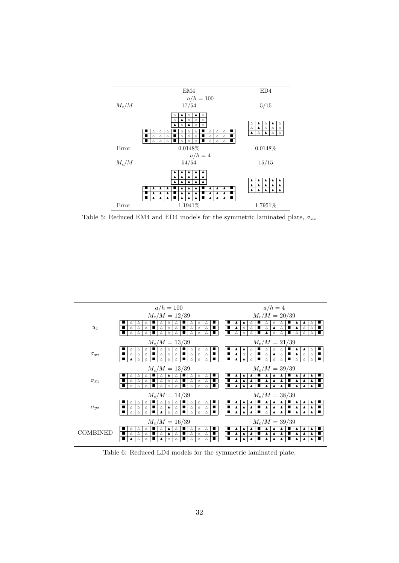

Table 5: Reduced EM4 and ED4 models for the symmetric laminated plate,  $\sigma_{xx}$ 



Table 6: Reduced LD4 models for the symmetric laminated plate.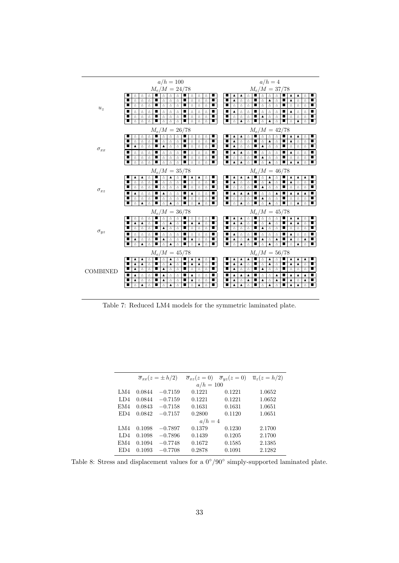

Table 7: Reduced LM4 models for the symmetric laminated plate.

|     |        | $\overline{\sigma}_{rr}(z=\pm h/2)$ |             | $\overline{\sigma}_{xz}(z=0)$ $\overline{\sigma}_{yz}(z=0)$ | $\overline{u}_z(z=h/2)$ |
|-----|--------|-------------------------------------|-------------|-------------------------------------------------------------|-------------------------|
|     |        |                                     | $a/h = 100$ |                                                             |                         |
| LM4 | 0.0844 | $-0.7159$                           | 0.1221      | 0.1221                                                      | 1.0652                  |
| LD4 | 0.0844 | $-0.7159$                           | 0.1221      | 0.1221                                                      | 1.0652                  |
| EM4 | 0.0843 | $-0.7158$                           | 0.1631      | 0.1631                                                      | 1.0651                  |
| ED4 | 0.0842 | $-0.7157$                           | 0.2800      | 0.1120                                                      | 1.0651                  |
|     |        |                                     | $a/h=4$     |                                                             |                         |
| LM4 | 0.1098 | $-0.7897$                           | 0.1379      | 0.1230                                                      | 2.1700                  |
| LD4 | 0.1098 | $-0.7896$                           | 0.1439      | 0.1205                                                      | 2.1700                  |
| EM4 | 0.1094 | $-0.7748$                           | 0.1672      | 0.1585                                                      | 2.1385                  |
| ED4 | 0.1093 | $-0.7708$                           | 0.2878      | 0.1091                                                      | 2.1282                  |
|     |        |                                     |             |                                                             |                         |

Table 8: Stress and displacement values for a  $0^{\circ}/90^{\circ}$  simply-supported laminated plate.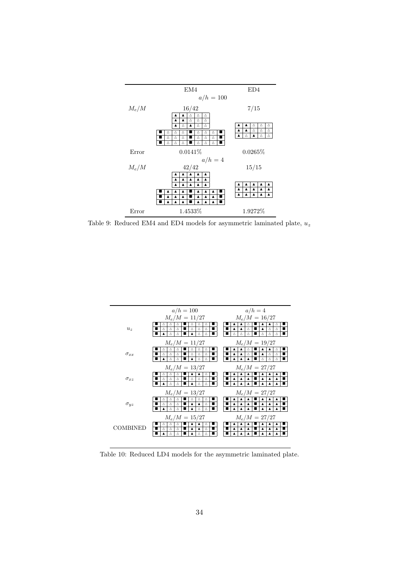

Table 9: Reduced EM4 and ED4 models for asymmetric laminated plate,  $u_z$ 



Table 10: Reduced LD4 models for the asymmetric laminated plate.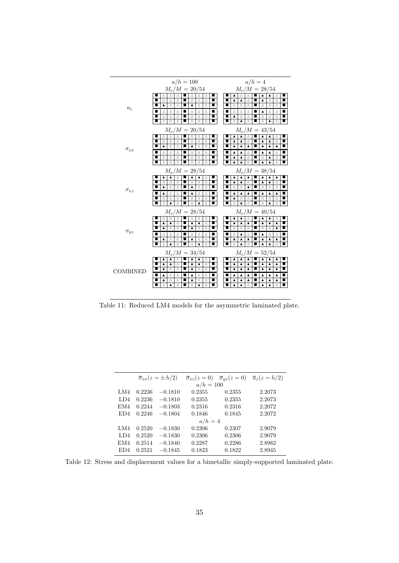

Table 11: Reduced LM4 models for the asymmetric laminated plate.

|     |        | $\overline{\sigma}_{rr}(z=\pm h/2)$ | $\overline{\sigma}_{xz}(z=0)$ | $\overline{\sigma}_{uz}(z=0)$ | $\overline{u}_z(z=h/2)$ |
|-----|--------|-------------------------------------|-------------------------------|-------------------------------|-------------------------|
|     |        |                                     | $a/h = 100$                   |                               |                         |
| LM4 | 0.2236 | $-0.1810$                           | 0.2355                        | 0.2355                        | 2.2073                  |
| LD4 | 0.2236 | $-0.1810$                           | 0.2355                        | 0.2355                        | 2.2073                  |
| EM4 | 0.2244 | $-0.1803$                           | 0.2316                        | 0.2316                        | 2.2072                  |
| ED4 | 0.2246 | $-0.1804$                           | 0.1846                        | 0.1845                        | 2.2072                  |
|     |        |                                     | $a/h=4$                       |                               |                         |
| LM4 | 0.2520 | $-0.1830$                           | 0.2306                        | 0.2307                        | 2.9079                  |
| LD4 | 0.2520 | $-0.1830$                           | 0.2306                        | 0.2306                        | 2.9079                  |
| EM4 | 0.2514 | $-0.1840$                           | 0.2287                        | 0.2286                        | 2.8982                  |
| ED4 | 0.2521 | $-0.1845$                           | 0.1823                        | 0.1822                        | 2.8945                  |
|     |        |                                     |                               |                               |                         |

L,

Table 12: Stress and displacement values for a bimetallic simply-supported laminated plate.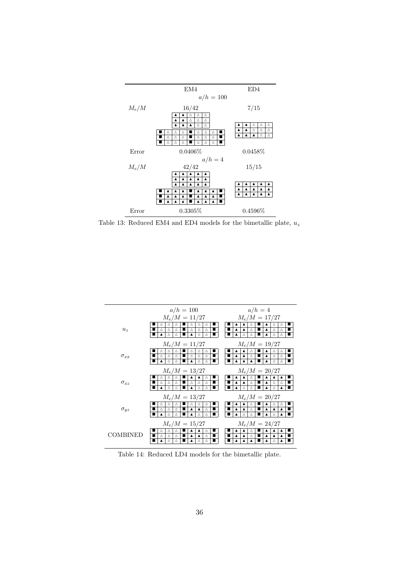

Table 13: Reduced EM4 and ED4 models for the bimetallic plate,  $u_z$ 



Table 14: Reduced LD4 models for the bimetallic plate.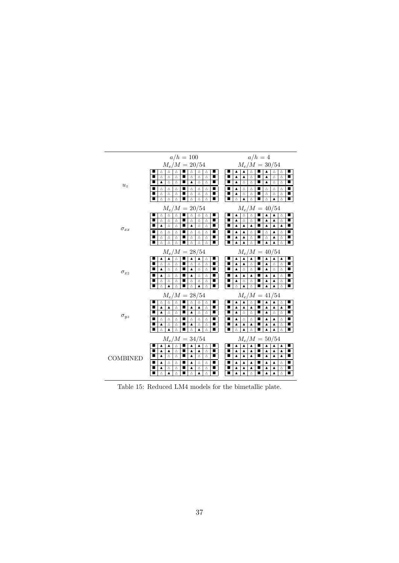|                                    | $a/h = 100$                                                                          | $a/h=4$                                                                                                                        |  |  |  |
|------------------------------------|--------------------------------------------------------------------------------------|--------------------------------------------------------------------------------------------------------------------------------|--|--|--|
|                                    | $M_e/M = 20/54$                                                                      | $M_e/M = 30/54$                                                                                                                |  |  |  |
|                                    | $\blacksquare$<br>Δ<br>Δ<br>Δ<br>Δ<br>Δ<br>Δ                                         | $\blacktriangle$<br>п<br>■<br>Δ<br>$\blacktriangle$<br>Δ<br>Δ<br>▲                                                             |  |  |  |
|                                    | Δ<br>Δ<br>Δ<br>Δ<br>Δ<br>Δ                                                           | п<br>■<br>▲<br>▲<br>Δ<br>▲<br>Δ<br>Δ                                                                                           |  |  |  |
| $\boldsymbol{u}_z$                 | ■<br>Δ<br>$\Delta$<br>$\blacksquare$<br>$\blacktriangle$<br>$\Delta$<br>▲<br>Δ       | ■<br>Δ<br>п<br>■<br>▲<br>Δ<br>▲<br>Δ<br>Δ                                                                                      |  |  |  |
|                                    | $\blacksquare$<br>∎∣<br>Δ<br>Δ<br>Δ<br>Δ<br>Δ<br>Δ                                   | ш<br>▲<br>Δ<br>Δ<br>Δ<br>Δ<br>Δ                                                                                                |  |  |  |
|                                    | ■<br>Δ<br>Δ<br>Δ<br>$\blacksquare$<br>Δ<br>$\Delta$<br>Δ<br>$\blacksquare$<br>■<br>■ | $\blacktriangle$<br>Δ<br>Δ<br>$\blacksquare$<br>Δ<br>Δ<br>Δ<br>■<br>■<br>■<br>■                                                |  |  |  |
|                                    | Δ<br>Δ<br>Δ<br>■<br>Δ<br>Δ<br>Δ                                                      | Δ<br>Δ<br>Δ<br>Δ<br>▲<br>▲                                                                                                     |  |  |  |
|                                    | $M_e/M = 20/54$                                                                      | $M_e/M = 40/54$                                                                                                                |  |  |  |
|                                    | Δ<br>Δ<br>Δ<br>Δ<br>Δ<br>Δ                                                           | $\blacktriangle$<br>Δ<br>Δ<br>п<br>Δ<br>$\blacktriangle$<br>▲                                                                  |  |  |  |
|                                    | ■<br>Δ<br>Δ<br>Δ<br>Δ<br>Δ<br>Δ                                                      | Δ<br>■<br>▲<br>Δ<br>▲<br>Δ<br>▲                                                                                                |  |  |  |
| $\sigma_{xx}$                      | $\Delta$<br>■<br>■<br>$\blacktriangle$<br>Δ<br>$\blacktriangle$<br>Δ<br>Δ            | п<br>$\blacktriangle$<br>п<br>$\blacktriangle$<br>$\blacktriangle$<br>$\blacktriangle$<br>$\blacktriangle$<br>$\blacktriangle$ |  |  |  |
|                                    | Δ<br>Δ<br>Δ<br>Δ<br>Δ<br>Δ                                                           | ▲<br>$\blacktriangle$<br>Δ<br>Δ<br>▲<br>Δ                                                                                      |  |  |  |
|                                    | Δ<br>п<br>Δ<br>$\Delta$<br>ш<br>Δ<br>Δ<br>Δ                                          | ■<br>Δ<br>п<br>п<br>▲<br>▲<br>Δ<br>▲<br>Δ                                                                                      |  |  |  |
|                                    | п<br>■<br>Δ<br>Δ<br>Δ<br>■<br>Δ<br>Δ<br>Δ                                            | п<br>$\blacktriangle$<br>$\blacktriangle$<br>▲<br>Δ<br>■<br>$\blacktriangle$<br>Δ<br>■                                         |  |  |  |
| $M_e/M = 40/54$<br>$M_e/M = 28/54$ |                                                                                      |                                                                                                                                |  |  |  |
|                                    | $\blacktriangle$<br>$\blacksquare$<br>▲<br>▲<br>Δ<br>$\blacktriangle$<br>Δ           | $\blacksquare$<br>$\blacktriangle$<br>п<br>$\blacktriangle$<br>$\blacktriangle$<br>$\blacktriangle$<br>$\blacktriangle$<br>▲   |  |  |  |
|                                    | Δ<br>Δ<br>Δ<br>Δ<br>Δ<br>Δ                                                           | ■<br>$\blacktriangle$<br>$\blacktriangle$<br>п<br>■<br>Δ<br>▲<br>Δ<br>Δ                                                        |  |  |  |
| $\sigma_{xz}$                      | ■<br>▲<br>ш<br>$\Delta$<br>■<br>Δ<br>Δ<br>▲<br>Δ                                     | ш<br>п<br>▲<br>Δ<br>Δ<br>▲<br>Δ<br>Δ                                                                                           |  |  |  |
|                                    | ▲<br>Δ<br>▲<br>Δ<br>Δ<br>Δ                                                           | ▲<br>▲<br>▲<br>▲<br>$\blacktriangle$<br>Δ<br>■                                                                                 |  |  |  |
|                                    | ■<br>Δ<br>Δ<br>п<br>$\triangle$<br>Δ<br>Δ<br>Δ                                       | T<br>п<br>Δ<br>$\blacktriangle$<br>$\blacktriangle$<br>Δ<br>п<br>▲<br>Δ                                                        |  |  |  |
|                                    | Δ<br>$\triangle$<br>$\blacktriangle$<br>$\blacktriangle$<br>п<br>Δ<br>Δ              | п<br>Δ<br>$\blacktriangle$<br>Δ<br>$\blacktriangle$<br>$\blacktriangle$<br>Δ                                                   |  |  |  |
|                                    | $M_e/M = 28/54$                                                                      | $M_e/M = 41/54$                                                                                                                |  |  |  |
|                                    | $\blacksquare$<br>Δ<br>■<br>Δ<br>Δ<br>Δ<br>Δ<br>Δ                                    | п<br>$\blacksquare$<br>$\blacktriangle$<br>$\blacktriangle$<br>Δ<br>$\blacktriangle$<br>Δ<br>▲                                 |  |  |  |
|                                    | $\blacktriangle$<br>▲<br>▲<br>Δ<br>▲<br>Δ                                            | $\blacktriangle$<br>▲<br>п<br>▲<br>$\blacktriangle$<br>$\blacktriangle$<br>▲<br>■                                              |  |  |  |
| $\sigma_{uz}$                      | ■<br>▲<br>Δ<br>Δ<br>▲<br>Δ<br>Δ                                                      | п<br>▲<br>Δ<br>Δ<br>▲<br>Δ<br>Δ<br>■                                                                                           |  |  |  |
|                                    | ■<br>Δ<br>Δ<br>п<br>Δ<br>$\Delta$<br>$\Delta$<br>Δ                                   | п<br>■<br>$\blacktriangle$<br>Δ<br>$\Delta$<br>$\blacktriangle$<br>$\blacktriangle$<br>Δ<br>■                                  |  |  |  |
|                                    | $\blacksquare$<br>▲<br>▲<br>Δ<br>Δ<br>Δ<br>Δ                                         | ▲<br>▲<br>▲<br>▲<br>▲<br>Δ                                                                                                     |  |  |  |
|                                    | $\blacktriangle$<br>Δ<br>Δ<br>$\blacktriangle$<br>Δ<br>Δ                             | $\blacktriangle$<br>Δ<br>п<br>$\blacktriangle$<br>$\triangle$<br>Δ<br>$\blacktriangle$                                         |  |  |  |
|                                    | $M_e/M = 34/54$                                                                      | $M_e/M = 50/54$                                                                                                                |  |  |  |
|                                    | $\blacktriangle$<br>$\blacksquare$<br>▲<br>▲<br>Δ<br>▲<br>Δ                          | $\blacktriangle$<br>п<br>$\blacktriangle$<br>ш<br>$\blacktriangle$<br>$\blacktriangle$<br>▲<br>▲                               |  |  |  |
|                                    | п<br>▲<br>▲<br>Δ<br>▲<br>▲<br>Δ                                                      | п<br>▲<br>▲<br>▲<br>▲<br>▲<br>▲                                                                                                |  |  |  |
| COMBINED                           | п<br>▲<br>Δ<br>ш<br>Δ<br>Δ<br>Δ<br>▲                                                 | ▲<br>■<br>▲<br>▲<br>▲<br>■<br>▲<br>▲                                                                                           |  |  |  |
|                                    | ▲<br>▲<br>Δ<br>Δ<br>■<br>Δ<br>Δ                                                      | ▲<br>■<br>▲<br>▲<br>▲<br>▲<br>Δ                                                                                                |  |  |  |
|                                    | Δ<br>Δ<br>▲<br>Δ<br>Δ<br>▲                                                           | ▲<br>▲<br>▲<br>▲<br>▲<br>Δ                                                                                                     |  |  |  |
|                                    | п<br>■<br>■<br>Δ<br>A<br>Δ<br>Δ<br>$\blacktriangle$<br>Δ                             | ■<br>п<br>■<br>▲<br>$\blacktriangle$<br>Δ<br>▲<br>Δ<br>▲                                                                       |  |  |  |

Table 15: Reduced LM4 models for the bimetallic plate.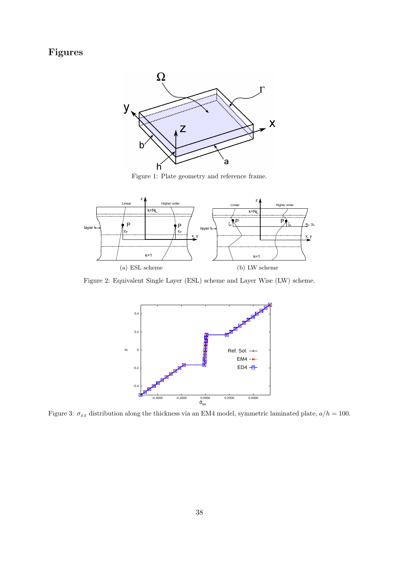# Figures



Figure 1: Plate geometry and reference frame.



Figure 2: Equivalent Single Layer (ESL) scheme and Layer Wise (LW) scheme.



Figure 3:  $\sigma_{xx}$  distribution along the thickness via an EM4 model, symmetric laminated plate,  $a/h = 100$ .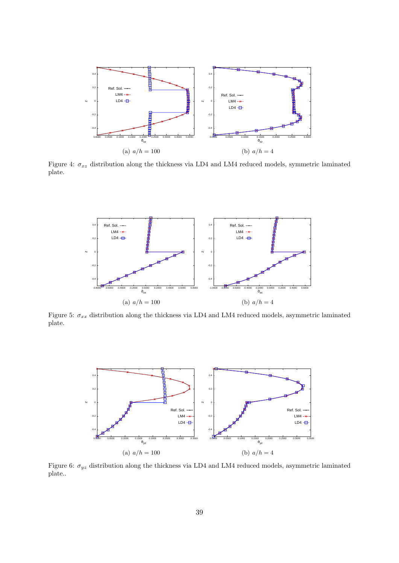

Figure 4:  $\sigma_{xz}$  distribution along the thickness via LD4 and LM4 reduced models, symmetric laminated plate.



Figure 5:  $\sigma_{xx}$  distribution along the thickness via LD4 and LM4 reduced models, asymmetric laminated plate.



Figure 6:  $\sigma_{yz}$  distribution along the thickness via LD4 and LM4 reduced models, asymmetric laminated plate..